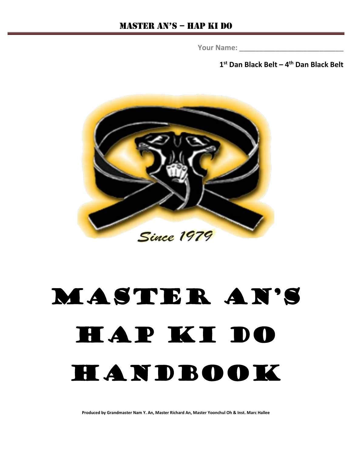**Your Name: \_\_\_\_\_\_\_\_\_\_\_\_\_\_\_\_\_\_\_\_\_\_\_\_\_\_**

**1st Dan Black Belt – 4th Dan Black Belt**



# Master An's HAP KI DO HANDBOOK

**Produced by Grandmaster Nam Y. An, Master Richard An, Master Yoonchul Oh & Inst. Marc Hallee**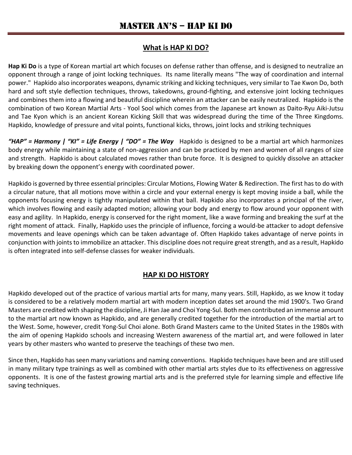## **What is HAP KI DO?**

**Hap Ki Do** is a type of Korean martial art which focuses on defense rather than offense, and is designed to neutralize an opponent through a range of joint locking techniques. Its name literally means "The way of coordination and internal power." Hapkido also incorporates weapons, dynamic striking and kicking techniques, very similar to Tae Kwon Do, both hard and soft style deflection techniques, throws, takedowns, ground-fighting, and extensive joint locking techniques and combines them into a flowing and beautiful discipline wherein an attacker can be easily neutralized. Hapkido is the combination of two Korean Martial Arts - Yool Sool which comes from the Japanese art known as Daito-Ryu Aiki-Jutsu and Tae Kyon which is an ancient Korean Kicking Skill that was widespread during the time of the Three Kingdoms. Hapkido, knowledge of pressure and vital points, functional kicks, throws, joint locks and striking techniques

*"HAP" = Harmony | "KI" = Life Energy | "DO" = The Way* Hapkido is designed to be a martial art which harmonizes body energy while maintaining a state of non-aggression and can be practiced by men and women of all ranges of size and strength. Hapkido is about calculated moves rather than brute force. It is designed to quickly dissolve an attacker by breaking down the opponent's energy with coordinated power.

Hapkido is governed by three essential principles: Circular Motions, Flowing Water & Redirection. The first has to do with a circular nature, that all motions move within a circle and your external energy is kept moving inside a ball, while the opponents focusing energy is tightly manipulated within that ball. Hapkido also incorporates a principal of the river, which involves flowing and easily adapted motion; allowing your body and energy to flow around your opponent with easy and agility. In Hapkido, energy is conserved for the right moment, like a wave forming and breaking the surf at the right moment of attack. Finally, Hapkido uses the principle of influence, forcing a would-be attacker to adopt defensive movements and leave openings which can be taken advantage of. Often Hapkido takes advantage of nerve points in conjunction with joints to immobilize an attacker. This discipline does not require great strength, and as a result, Hapkido is often integrated into self-defense classes for weaker individuals.

## **HAP KI DO HISTORY**

Hapkido developed out of the practice of various martial arts for many, many years. Still, Hapkido, as we know it today is considered to be a relatively modern martial art with modern inception dates set around the mid 1900's. Two Grand Masters are credited with shaping the discipline, Ji Han Jae and Choi Yong-Sul. Both men contributed an immense amount to the martial art now known as Hapkido, and are generally credited together for the introduction of the martial art to the West. Some, however, credit Yong-Sul Choi alone. Both Grand Masters came to the United States in the 1980s with the aim of opening Hapkido schools and increasing Western awareness of the martial art, and were followed in later years by other masters who wanted to preserve the teachings of these two men.

Since then, Hapkido has seen many variations and naming conventions. Hapkido techniques have been and are still used in many military type trainings as well as combined with other martial arts styles due to its effectiveness on aggressive opponents. It is one of the fastest growing martial arts and is the preferred style for learning simple and effective life saving techniques.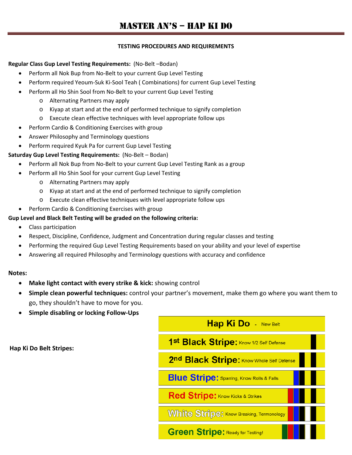#### **TESTING PROCEDURES AND REQUIREMENTS**

#### **Regular Class Gup Level Testing Requirements:** (No-Belt –Bodan)

- Perform all Nok Bup from No-Belt to your current Gup Level Testing
- Perform required Yeoum-Suk Ki-Sool Teah ( Combinations) for current Gup Level Testing
- Perform all Ho Shin Sool from No-Belt to your current Gup Level Testing
	- o Alternating Partners may apply
	- o Kiyap at start and at the end of performed technique to signify completion
	- o Execute clean effective techniques with level appropriate follow ups
- Perform Cardio & Conditioning Exercises with group
- Answer Philosophy and Terminology questions
- Perform required Kyuk Pa for current Gup Level Testing

#### **Saturday Gup Level Testing Requirements:** (No-Belt – Bodan)

- Perform all Nok Bup from No-Belt to your current Gup Level Testing Rank as a group
- Perform all Ho Shin Sool for your current Gup Level Testing
	- o Alternating Partners may apply
	- o Kiyap at start and at the end of performed technique to signify completion
	- o Execute clean effective techniques with level appropriate follow ups
- Perform Cardio & Conditioning Exercises with group

#### **Gup Level and Black Belt Testing will be graded on the following criteria:**

- Class participation
- Respect, Discipline, Confidence, Judgment and Concentration during regular classes and testing
- Performing the required Gup Level Testing Requirements based on your ability and your level of expertise
- Answering all required Philosophy and Terminology questions with accuracy and confidence

#### **Notes:**

- **Make light contact with every strike & kick:** showing control
- **Simple clean powerful techniques:** control your partner's movement, make them go where you want them to go, they shouldn't have to move for you.
- **Simple disabling or locking Follow-Ups**

**Hap Ki Do Belt Stripes:**

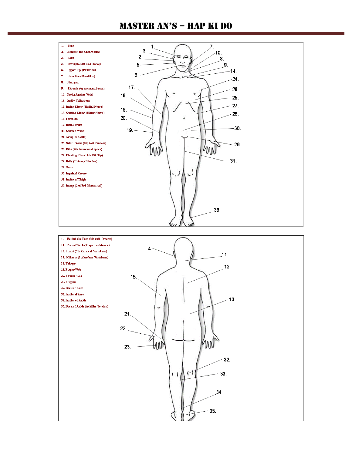

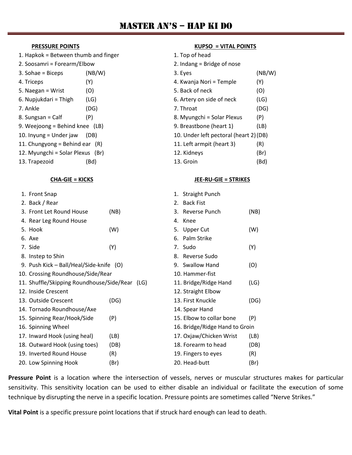- 1. Hapkok = Between thumb and finger
- 2. Soosamri = Forearm/Elbow
- $5. Naegan = Wright$  (O) 6. Nupjukdari = Thigh  $(LG)$  $8.$  Sungsan = Calf  $(P)$ 9. Weejoong = Behind knee  $(LB)$
- 10. Inyung = Under jaw  $(DB)$
- 11. Chungyong = Behind ear  $(R)$
- 12. Myungchi = Solar Plexus (Br)
- 13. Trapezoid (Bd) 13. Groin (Bd)

| 1. Front Snap                                  |      |    | 1. Straight Punch              |      |
|------------------------------------------------|------|----|--------------------------------|------|
| 2. Back / Rear                                 |      | 2. | <b>Back Fist</b>               |      |
| 3. Front Let Round House                       | (NB) |    | 3. Reverse Punch               | (NB) |
| 4. Rear Leg Round House                        |      |    | 4. Knee                        |      |
| 5. Hook                                        | (W)  |    | 5. Upper Cut                   | (W)  |
| 6. Axe                                         |      | 6. | Palm Strike                    |      |
| 7. Side                                        | (Y)  |    | 7. Sudo                        | (Y)  |
| 8. Instep to Shin                              |      |    | 8. Reverse Sudo                |      |
| 9. Push Kick - Ball/Heal/Side-knife (O)        |      |    | 9. Swallow Hand                | (O)  |
| 10. Crossing Roundhouse/Side/Rear              |      |    | 10. Hammer-fist                |      |
| 11. Shuffle/Skipping Roundhouse/Side/Rear (LG) |      |    | 11. Bridge/Ridge Hand          | (LG) |
| 12. Inside Crescent                            |      |    | 12. Straight Elbow             |      |
| 13. Outside Crescent                           | (DG) |    | 13. First Knuckle              | (DG) |
| 14. Tornado Roundhouse/Axe                     |      |    | 14. Spear Hand                 |      |
| 15. Spinning Rear/Hook/Side                    | (P)  |    | 15. Elbow to collar bone       | (P)  |
| 16. Spinning Wheel                             |      |    | 16. Bridge/Ridge Hand to Groin |      |
| 17. Inward Hook (using heal)                   | (LB) |    | 17. Oxjaw/Chicken Wrist        | (LB) |
| 18. Outward Hook (using toes)                  | (DB) |    | 18. Forearm to head            | (DB) |
| 19. Inverted Round House                       | (R)  |    | 19. Fingers to eyes            | (R)  |
| 20. Low Spinning Hook                          | (Br) |    | 20. Head-butt                  | (Br) |

#### **Pressure Point** is a location where the intersection of vessels, nerves or muscular structures makes for particular sensitivity. This sensitivity location can be used to either disable an individual or facilitate the execution of some technique by disrupting the nerve in a specific location. Pressure points are sometimes called "Nerve Strikes."

**Vital Point** is a specific pressure point locations that if struck hard enough can lead to death.

#### **PRESSURE POINTS KUPSO = VITAL POINTS**

| 1. Hapkok = Between thumb and finger |        | 1. Top of head                         |               |  |  |
|--------------------------------------|--------|----------------------------------------|---------------|--|--|
| 2. Soosamri = Forearm/Elbow          |        | 2. Indang $=$ Bridge of nose           |               |  |  |
| 3. Sohae = Biceps                    | (NB/W) | 3. Eyes                                | (NB/W)        |  |  |
| 4. Triceps                           | (Y)    | 4. Kwanja Nori = Temple                | (Y)           |  |  |
| 5. Naegan = Wrist                    | (O)    | 5. Back of neck                        | (O)           |  |  |
| 6. Nupjukdari = Thigh                | (LG)   | 6. Artery on side of neck              | (LG)          |  |  |
| 7. Ankle                             | (DG)   | 7. Throat                              | (DG)          |  |  |
| 8. Sungsan = Calf                    | (P)    | 8. Myungchi = Solar Plexus             | (P)           |  |  |
| 9. Weejoong = Behind knee $(LB)$     |        | 9. Breastbone (heart 1)                | (LB)          |  |  |
| 10. Inyung = Under jaw               | (DB)   | 10. Under left pectoral (heart 2) (DB) |               |  |  |
| 11. Chungyong = Behind ear $(R)$     |        | 11. Left armpit (heart 3)              | (R)           |  |  |
| 12. Myungchi = Solar Plexus (Br)     |        | 12. Kidneys                            | (Br)          |  |  |
|                                      |        |                                        | $\sim$ $\sim$ |  |  |

#### **CHA-GIE = KICKS JEE-RU-GIE = STRIKES**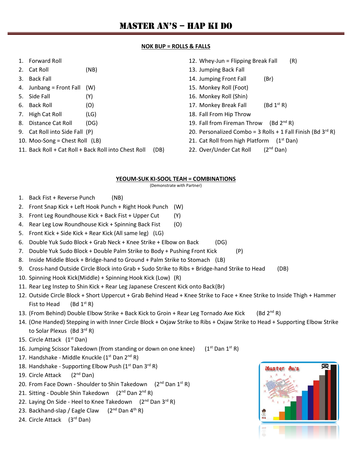#### **NOK BUP = ROLLS & FALLS**

- 1. Forward Roll
- 2. Cat Roll (NB)
- 3. Back Fall
- 4. Junbang = Front Fall (W)
- 5. Side Fall (Y)
- 6. Back Roll (O)
- 7. High Cat Roll (LG)
- 8. Distance Cat Roll (DG)
- 9. Cat Roll into Side Fall (P)
- 10. Moo-Song = Chest Roll (LB)
- 11. Back Roll + Cat Roll + Back Roll into Chest Roll (DB)
- 12. Whey-Jun = Flipping Break Fall  $(R)$
- 13. Jumping Back Fall
- 14. Jumping Front Fall (Br)
- 15. Monkey Roll (Foot)
- 16. Monkey Roll (Shin)
- 17. Monkey Break Fall  $(Bd 1^{st} R)$
- 18. Fall From Hip Throw
- 19. Fall from Fireman Throw (Bd  $2<sup>nd</sup> R$ )
- 20. Personalized Combo = 3 Rolls + 1 Fall Finish (Bd  $3^{rd}$  R)
- 21. Cat Roll from high Platform  $(1<sup>st</sup> Dan)$
- 22. Over/Under Cat Roll  $(2^{nd}$  Dan)

#### **YEOUM-SUK KI-SOOL TEAH = COMBINATIONS**

(Demonstrate with Partner)

- 1. Back Fist + Reverse Punch (NB)
- 2. Front Snap Kick + Left Hook Punch + Right Hook Punch (W)
- 3. Front Leg Roundhouse Kick + Back Fist + Upper Cut (Y)
- 4. Rear Leg Low Roundhouse Kick + Spinning Back Fist (O)
- 5. Front Kick + Side Kick + Rear Kick (All same leg) (LG)
- 6. Double Yuk Sudo Block + Grab Neck + Knee Strike + Elbow on Back (DG)
- 7. Double Yuk Sudo Block + Double Palm Strike to Body + Pushing Front Kick (P)
- 8. Inside Middle Block + Bridge-hand to Ground + Palm Strike to Stomach (LB)
- 9. Cross-hand Outside Circle Block into Grab + Sudo Strike to Ribs + Bridge-hand Strike to Head (DB)
- 10. Spinning Hook Kick(Middle) + Spinning Hook Kick (Low) (R)
- 11. Rear Leg Instep to Shin Kick + Rear Leg Japanese Crescent Kick onto Back(Br)
- 12. Outside Circle Block + Short Uppercut + Grab Behind Head + Knee Strike to Face + Knee Strike to Inside Thigh + Hammer Fist to Head (Bd  $1<sup>st</sup> R$ )
- 13. (From Behind) Double Elbow Strike + Back Kick to Groin + Rear Leg Tornado Axe Kick (Bd  $2^{nd}R$ )
- 14. (One Handed) Stepping in with Inner Circle Block + Oxjaw Strike to Ribs + Oxjaw Strike to Head + Supporting Elbow Strike to Solar Plexus (Bd  $3^{\text{rd}}$  R)
- 15. Circle Attack  $(1<sup>st</sup> Dan)$
- 16. Jumping Scissor Takedown (from standing or down on one knee)  $(1^{st}$  Dan  $1^{st}$  R)
- 17. Handshake Middle Knuckle  $(1<sup>st</sup>$  Dan  $2<sup>nd</sup>$  R)
- 18. Handshake Supporting Elbow Push (1<sup>st</sup> Dan 3<sup>rd</sup> R)
- 19. Circle Attack (2<sup>nd</sup> Dan)
- 20. From Face Down Shoulder to Shin Takedown  $(2^{nd}$  Dan  $1^{st}$  R)
- 21. Sitting Double Shin Takedown  $(2^{nd}$  Dan  $2^{nd}$  R)
- 22. Laying On Side Heel to Knee Takedown  $(2^{nd}$  Dan 3<sup>rd</sup> R)
- 23. Backhand-slap / Eagle Claw  $(2^{nd}$  Dan 4<sup>th</sup> R)
- 24. Circle Attack (3rd Dan)

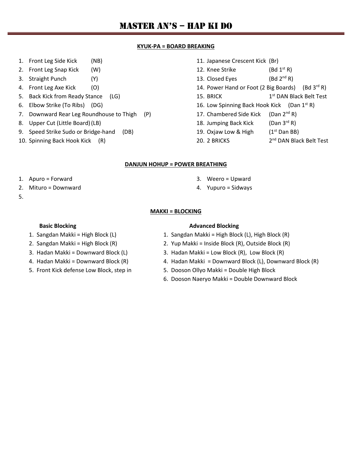#### **KYUK-PA = BOARD BREAKING**

- 1. Front Leg Side Kick (NB)
- 2. Front Leg Snap Kick (W)
- 3. Straight Punch (Y)
- 4. Front Leg Axe Kick (O)
- 5. Back Kick from Ready Stance (LG)
- 6. Elbow Strike (To Ribs) (DG)
- 7. Downward Rear Leg Roundhouse to Thigh (P)
- 8. Upper Cut (Little Board)(LB)
- 9. Speed Strike Sudo or Bridge-hand (DB)
- 10. Spinning Back Hook Kick (R)

#### 11. Japanese Crescent Kick (Br)

- 12. Knee Strike (Bd  $1<sup>st</sup> R$ )
- 13. Closed Eyes (Bd  $2<sup>nd</sup> R$ )
- 14. Power Hand or Foot (2 Big Boards) (Bd  $3^{\text{rd}}$  R)
- 15. BRICK 1st DAN Black Belt Test
- 16. Low Spinning Back Hook Kick (Dan  $1<sup>st</sup> R$ )
- 17. Chambered Side Kick (Dan 2<sup>nd</sup> R)
- 18. Jumping Back Kick  $(Dan 3^{rd} R)$
- 19. Oxjaw Low & High  $(1<sup>st</sup>$  Dan BB)
- 20. 2 BRICKS 2<sup>nd</sup> DAN Black Belt Test

#### **DANJUN HOHUP = POWER BREATHING**

- 1. Apuro = Forward
- 2. Mituro = Downward
- 5.

#### **MAKKI = BLOCKING**

- 
- 
- 
- 
- 

#### **Basic Blocking <b>Advanced Blocking Advanced Blocking**

1. Sangdan Makki = High Block (L) 1. Sangdan Makki = High Block (L), High Block (R)

3. Weero = Upward 4. Yupuro = Sidways

- 2. Sangdan Makki = High Block (R) 2. Yup Makki = Inside Block (R), Outside Block (R)
- 3. Hadan Makki = Downward Block (L) 3. Hadan Makki = Low Block (R), Low Block (R)
- 4. Hadan Makki = Downward Block (R) 4. Hadan Makki = Downward Block (L), Downward Block (R)
- 5. Front Kick defense Low Block, step in 5. Dooson Ollyo Makki = Double High Block
	- 6. Dooson Naeryo Makki = Double Downward Block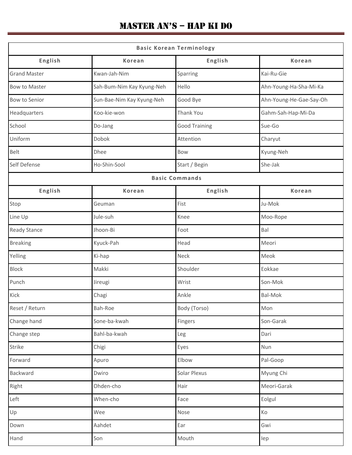| <b>Basic Korean Terminology</b> |                           |                      |                         |  |  |  |  |  |
|---------------------------------|---------------------------|----------------------|-------------------------|--|--|--|--|--|
| English                         | <b>Korean</b>             | English              | <b>Korean</b>           |  |  |  |  |  |
| <b>Grand Master</b>             | Kwan-Jah-Nim              | Sparring             | Kai-Ru-Gie              |  |  |  |  |  |
| Bow to Master                   | Sah-Bum-Nim Kay Kyung-Neh | Hello                | Ahn-Young-Ha-Sha-Mi-Ka  |  |  |  |  |  |
| Bow to Senior                   | Sun-Bae-Nim Kay Kyung-Neh | Good Bye             | Ahn-Young-He-Gae-Say-Oh |  |  |  |  |  |
| Headquarters                    | Koo-kie-won               | Thank You            | Gahm-Sah-Hap-Mi-Da      |  |  |  |  |  |
| School                          | Do-Jang                   | <b>Good Training</b> | Sue-Go                  |  |  |  |  |  |
| Uniform                         | Dobok                     | Attention            | Charyut                 |  |  |  |  |  |
| Belt                            | Dhee                      | Bow                  | Kyung-Neh               |  |  |  |  |  |
| Self Defense                    | Ho-Shin-Sool              | Start / Begin        | She-Jak                 |  |  |  |  |  |
|                                 | <b>Basic Commands</b>     |                      |                         |  |  |  |  |  |
| English                         | <b>Korean</b>             | English              | <b>Korean</b>           |  |  |  |  |  |
| Stop                            | Geuman                    | Fist                 | Ju-Mok                  |  |  |  |  |  |
| Line Up                         | Jule-suh                  | Knee                 | Moo-Rope                |  |  |  |  |  |
| <b>Ready Stance</b>             | Jhoon-Bi                  | Foot                 | Bal                     |  |  |  |  |  |
| <b>Breaking</b>                 | Kyuck-Pah                 | Head                 | Meori                   |  |  |  |  |  |
| Yelling                         | Ki-hap                    | Neck                 | Meok                    |  |  |  |  |  |
| <b>Block</b>                    | Makki                     | Shoulder             | Eokkae                  |  |  |  |  |  |
| Punch                           | Jireugi                   | Wrist                | Son-Mok                 |  |  |  |  |  |
| Kick                            | Chagi                     | Ankle                | <b>Bal-Mok</b>          |  |  |  |  |  |
| Reset / Return                  | Bah-Roe                   | Body (Torso)         | Mon                     |  |  |  |  |  |
| Change hand                     | Sone-ba-kwah              | Fingers              | Son-Garak               |  |  |  |  |  |
| Change step                     | Bahl-ba-kwah              | Leg                  | Dari                    |  |  |  |  |  |
| Strike                          | Chigi                     | Eyes                 | Nun                     |  |  |  |  |  |
| Forward                         | Apuro                     | Elbow                | Pal-Goop                |  |  |  |  |  |
| Backward                        | Dwiro                     | Solar Plexus         | Myung Chi               |  |  |  |  |  |
| Right                           | Ohden-cho                 | Hair                 | Meori-Garak             |  |  |  |  |  |
| Left                            | When-cho                  | Face                 | Eolgul                  |  |  |  |  |  |
| Up                              | Wee                       | Nose                 | Ko                      |  |  |  |  |  |
| Down                            | Aahdet                    | Ear                  | Gwi                     |  |  |  |  |  |
| Hand                            | Son                       | Mouth                | lep                     |  |  |  |  |  |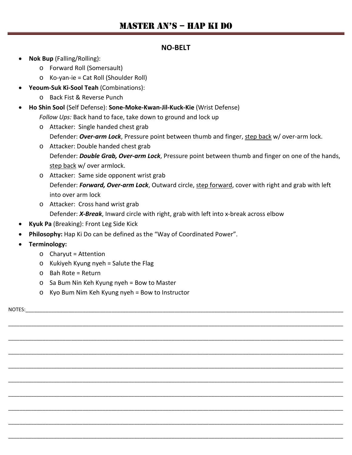#### **NO-BELT**

- **Nok Bup** (Falling/Rolling):
	- o Forward Roll (Somersault)
	- o Ko-yan-ie = Cat Roll (Shoulder Roll)
- **Yeoum-Suk Ki-Sool Teah** (Combinations):
	- o Back Fist & Reverse Punch
- **Ho Shin Sool** (Self Defense): **Sone-Moke-Kwan-Jil-Kuck-Kie** (Wrist Defense) *Follow Ups:* Back hand to face, take down to ground and lock up
	- o Attacker: Single handed chest grab Defender: *Over-arm Lock*, Pressure point between thumb and finger, step back w/ over-arm lock.
	- o Attacker: Double handed chest grab Defender: *Double Grab, Over-arm Lock*, Pressure point between thumb and finger on one of the hands, step back w/ over armlock.
	- o Attacker: Same side opponent wrist grab Defender: *Forward, Over-arm Lock*, Outward circle, step forward, cover with right and grab with left into over arm lock

\_\_\_\_\_\_\_\_\_\_\_\_\_\_\_\_\_\_\_\_\_\_\_\_\_\_\_\_\_\_\_\_\_\_\_\_\_\_\_\_\_\_\_\_\_\_\_\_\_\_\_\_\_\_\_\_\_\_\_\_\_\_\_\_\_\_\_\_\_\_\_\_\_\_\_\_\_\_\_\_\_\_\_\_\_\_\_\_\_\_\_\_\_\_\_\_\_\_\_\_\_\_\_\_\_\_\_\_\_\_\_\_\_\_\_\_\_

\_\_\_\_\_\_\_\_\_\_\_\_\_\_\_\_\_\_\_\_\_\_\_\_\_\_\_\_\_\_\_\_\_\_\_\_\_\_\_\_\_\_\_\_\_\_\_\_\_\_\_\_\_\_\_\_\_\_\_\_\_\_\_\_\_\_\_\_\_\_\_\_\_\_\_\_\_\_\_\_\_\_\_\_\_\_\_\_\_\_\_\_\_\_\_\_\_\_\_\_\_\_\_\_\_\_\_\_\_\_\_\_\_\_\_\_\_

\_\_\_\_\_\_\_\_\_\_\_\_\_\_\_\_\_\_\_\_\_\_\_\_\_\_\_\_\_\_\_\_\_\_\_\_\_\_\_\_\_\_\_\_\_\_\_\_\_\_\_\_\_\_\_\_\_\_\_\_\_\_\_\_\_\_\_\_\_\_\_\_\_\_\_\_\_\_\_\_\_\_\_\_\_\_\_\_\_\_\_\_\_\_\_\_\_\_\_\_\_\_\_\_\_\_\_\_\_\_\_\_\_\_\_\_\_

\_\_\_\_\_\_\_\_\_\_\_\_\_\_\_\_\_\_\_\_\_\_\_\_\_\_\_\_\_\_\_\_\_\_\_\_\_\_\_\_\_\_\_\_\_\_\_\_\_\_\_\_\_\_\_\_\_\_\_\_\_\_\_\_\_\_\_\_\_\_\_\_\_\_\_\_\_\_\_\_\_\_\_\_\_\_\_\_\_\_\_\_\_\_\_\_\_\_\_\_\_\_\_\_\_\_\_\_\_\_\_\_\_\_\_\_\_

\_\_\_\_\_\_\_\_\_\_\_\_\_\_\_\_\_\_\_\_\_\_\_\_\_\_\_\_\_\_\_\_\_\_\_\_\_\_\_\_\_\_\_\_\_\_\_\_\_\_\_\_\_\_\_\_\_\_\_\_\_\_\_\_\_\_\_\_\_\_\_\_\_\_\_\_\_\_\_\_\_\_\_\_\_\_\_\_\_\_\_\_\_\_\_\_\_\_\_\_\_\_\_\_\_\_\_\_\_\_\_\_\_\_\_\_\_

\_\_\_\_\_\_\_\_\_\_\_\_\_\_\_\_\_\_\_\_\_\_\_\_\_\_\_\_\_\_\_\_\_\_\_\_\_\_\_\_\_\_\_\_\_\_\_\_\_\_\_\_\_\_\_\_\_\_\_\_\_\_\_\_\_\_\_\_\_\_\_\_\_\_\_\_\_\_\_\_\_\_\_\_\_\_\_\_\_\_\_\_\_\_\_\_\_\_\_\_\_\_\_\_\_\_\_\_\_\_\_\_\_\_\_\_\_

\_\_\_\_\_\_\_\_\_\_\_\_\_\_\_\_\_\_\_\_\_\_\_\_\_\_\_\_\_\_\_\_\_\_\_\_\_\_\_\_\_\_\_\_\_\_\_\_\_\_\_\_\_\_\_\_\_\_\_\_\_\_\_\_\_\_\_\_\_\_\_\_\_\_\_\_\_\_\_\_\_\_\_\_\_\_\_\_\_\_\_\_\_\_\_\_\_\_\_\_\_\_\_\_\_\_\_\_\_\_\_\_\_\_\_\_\_

\_\_\_\_\_\_\_\_\_\_\_\_\_\_\_\_\_\_\_\_\_\_\_\_\_\_\_\_\_\_\_\_\_\_\_\_\_\_\_\_\_\_\_\_\_\_\_\_\_\_\_\_\_\_\_\_\_\_\_\_\_\_\_\_\_\_\_\_\_\_\_\_\_\_\_\_\_\_\_\_\_\_\_\_\_\_\_\_\_\_\_\_\_\_\_\_\_\_\_\_\_\_\_\_\_\_\_\_\_\_\_\_\_\_\_\_\_

\_\_\_\_\_\_\_\_\_\_\_\_\_\_\_\_\_\_\_\_\_\_\_\_\_\_\_\_\_\_\_\_\_\_\_\_\_\_\_\_\_\_\_\_\_\_\_\_\_\_\_\_\_\_\_\_\_\_\_\_\_\_\_\_\_\_\_\_\_\_\_\_\_\_\_\_\_\_\_\_\_\_\_\_\_\_\_\_\_\_\_\_\_\_\_\_\_\_\_\_\_\_\_\_\_\_\_\_\_\_\_\_\_\_\_\_\_

- o Attacker: Cross hand wrist grab Defender: *X-Break*, Inward circle with right, grab with left into x-break across elbow
- **Kyuk Pa** (Breaking): Front Leg Side Kick
- **Philosophy:** Hap Ki Do can be defined as the "Way of Coordinated Power".
- **Terminology:**
	- $\circ$  Charyut = Attention
	- $\circ$  Kukiyeh Kyung nyeh = Salute the Flag
	- o Bah Rote = Return
	- o Sa Bum Nin Keh Kyung nyeh = Bow to Master
	- o Kyo Bum Nim Keh Kyung nyeh = Bow to Instructor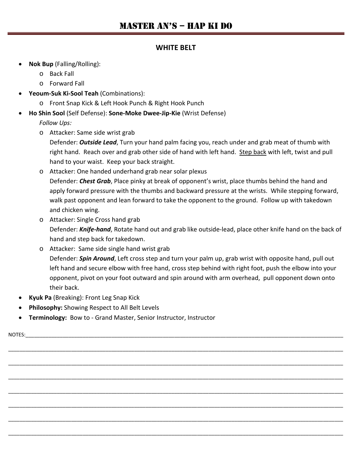#### **WHITE BELT**

- **Nok Bup** (Falling/Rolling):
	- o Back Fall
	- o Forward Fall
- **Yeoum-Suk Ki-Sool Teah** (Combinations):
	- o Front Snap Kick & Left Hook Punch & Right Hook Punch
- **Ho Shin Sool** (Self Defense): **Sone-Moke Dwee-Jip-Kie** (Wrist Defense)

*Follow Ups:*

- o Attacker: Same side wrist grab
	- Defender: *Outside Lead*, Turn your hand palm facing you, reach under and grab meat of thumb with right hand. Reach over and grab other side of hand with left hand. Step back with left, twist and pull hand to your waist. Keep your back straight.
- o Attacker: One handed underhand grab near solar plexus Defender: *Chest Grab*, Place pinky at break of opponent's wrist, place thumbs behind the hand and apply forward pressure with the thumbs and backward pressure at the wrists. While stepping forward, walk past opponent and lean forward to take the opponent to the ground. Follow up with takedown and chicken wing.
- o Attacker: Single Cross hand grab Defender: *Knife-hand*, Rotate hand out and grab like outside-lead, place other knife hand on the back of hand and step back for takedown.
- o Attacker: Same side single hand wrist grab Defender: *Spin Around*, Left cross step and turn your palm up, grab wrist with opposite hand, pull out left hand and secure elbow with free hand, cross step behind with right foot, push the elbow into your opponent, pivot on your foot outward and spin around with arm overhead, pull opponent down onto their back.

\_\_\_\_\_\_\_\_\_\_\_\_\_\_\_\_\_\_\_\_\_\_\_\_\_\_\_\_\_\_\_\_\_\_\_\_\_\_\_\_\_\_\_\_\_\_\_\_\_\_\_\_\_\_\_\_\_\_\_\_\_\_\_\_\_\_\_\_\_\_\_\_\_\_\_\_\_\_\_\_\_\_\_\_\_\_\_\_\_\_\_\_\_\_\_\_\_\_\_\_\_\_\_\_\_\_\_\_\_\_\_\_\_\_\_\_\_

\_\_\_\_\_\_\_\_\_\_\_\_\_\_\_\_\_\_\_\_\_\_\_\_\_\_\_\_\_\_\_\_\_\_\_\_\_\_\_\_\_\_\_\_\_\_\_\_\_\_\_\_\_\_\_\_\_\_\_\_\_\_\_\_\_\_\_\_\_\_\_\_\_\_\_\_\_\_\_\_\_\_\_\_\_\_\_\_\_\_\_\_\_\_\_\_\_\_\_\_\_\_\_\_\_\_\_\_\_\_\_\_\_\_\_\_\_

\_\_\_\_\_\_\_\_\_\_\_\_\_\_\_\_\_\_\_\_\_\_\_\_\_\_\_\_\_\_\_\_\_\_\_\_\_\_\_\_\_\_\_\_\_\_\_\_\_\_\_\_\_\_\_\_\_\_\_\_\_\_\_\_\_\_\_\_\_\_\_\_\_\_\_\_\_\_\_\_\_\_\_\_\_\_\_\_\_\_\_\_\_\_\_\_\_\_\_\_\_\_\_\_\_\_\_\_\_\_\_\_\_\_\_\_\_

\_\_\_\_\_\_\_\_\_\_\_\_\_\_\_\_\_\_\_\_\_\_\_\_\_\_\_\_\_\_\_\_\_\_\_\_\_\_\_\_\_\_\_\_\_\_\_\_\_\_\_\_\_\_\_\_\_\_\_\_\_\_\_\_\_\_\_\_\_\_\_\_\_\_\_\_\_\_\_\_\_\_\_\_\_\_\_\_\_\_\_\_\_\_\_\_\_\_\_\_\_\_\_\_\_\_\_\_\_\_\_\_\_\_\_\_\_

\_\_\_\_\_\_\_\_\_\_\_\_\_\_\_\_\_\_\_\_\_\_\_\_\_\_\_\_\_\_\_\_\_\_\_\_\_\_\_\_\_\_\_\_\_\_\_\_\_\_\_\_\_\_\_\_\_\_\_\_\_\_\_\_\_\_\_\_\_\_\_\_\_\_\_\_\_\_\_\_\_\_\_\_\_\_\_\_\_\_\_\_\_\_\_\_\_\_\_\_\_\_\_\_\_\_\_\_\_\_\_\_\_\_\_\_\_

\_\_\_\_\_\_\_\_\_\_\_\_\_\_\_\_\_\_\_\_\_\_\_\_\_\_\_\_\_\_\_\_\_\_\_\_\_\_\_\_\_\_\_\_\_\_\_\_\_\_\_\_\_\_\_\_\_\_\_\_\_\_\_\_\_\_\_\_\_\_\_\_\_\_\_\_\_\_\_\_\_\_\_\_\_\_\_\_\_\_\_\_\_\_\_\_\_\_\_\_\_\_\_\_\_\_\_\_\_\_\_\_\_\_\_\_\_

\_\_\_\_\_\_\_\_\_\_\_\_\_\_\_\_\_\_\_\_\_\_\_\_\_\_\_\_\_\_\_\_\_\_\_\_\_\_\_\_\_\_\_\_\_\_\_\_\_\_\_\_\_\_\_\_\_\_\_\_\_\_\_\_\_\_\_\_\_\_\_\_\_\_\_\_\_\_\_\_\_\_\_\_\_\_\_\_\_\_\_\_\_\_\_\_\_\_\_\_\_\_\_\_\_\_\_\_\_\_\_\_\_\_\_\_\_

- **Kyuk Pa** (Breaking): Front Leg Snap Kick
- **Philosophy:** Showing Respect to All Belt Levels
- **Terminology:** Bow to Grand Master, Senior Instructor, Instructor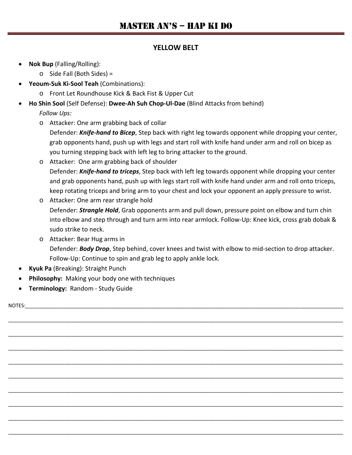#### **YELLOW BELT**

- **Nok Bup** (Falling/Rolling):
	- o Side Fall (Both Sides) =
- **Yeoum-Suk Ki-Sool Teah** (Combinations):
	- o Front Let Roundhouse Kick & Back Fist & Upper Cut
- **Ho Shin Sool** (Self Defense): **Dwee-Ah Suh Chop-Ul-Dae** (Blind Attacks from behind)

*Follow Ups:*

o Attacker: One arm grabbing back of collar

Defender: *Knife-hand to Bicep*, Step back with right leg towards opponent while dropping your center, grab opponents hand, push up with legs and start roll with knife hand under arm and roll on bicep as you turning stepping back with left leg to bring attacker to the ground.

o Attacker: One arm grabbing back of shoulder Defender: *Knife-hand to triceps*, Step back with left leg towards opponent while dropping your center and grab opponents hand, push up with legs start roll with knife hand under arm and roll onto triceps, keep rotating triceps and bring arm to your chest and lock your opponent an apply pressure to wrist.

o Attacker: One arm rear strangle hold Defender: *Strangle Hold*, Grab opponents arm and pull down, pressure point on elbow and turn chin into elbow and step through and turn arm into rear armlock. Follow-Up: Knee kick, cross grab dobak & sudo strike to neck.

o Attacker: Bear Hug arms in Defender: *Body Drop*, Step behind, cover knees and twist with elbow to mid-section to drop attacker. Follow-Up: Continue to spin and grab leg to apply ankle lock.

\_\_\_\_\_\_\_\_\_\_\_\_\_\_\_\_\_\_\_\_\_\_\_\_\_\_\_\_\_\_\_\_\_\_\_\_\_\_\_\_\_\_\_\_\_\_\_\_\_\_\_\_\_\_\_\_\_\_\_\_\_\_\_\_\_\_\_\_\_\_\_\_\_\_\_\_\_\_\_\_\_\_\_\_\_\_\_\_\_\_\_\_\_\_\_\_\_\_\_\_\_\_\_\_\_\_\_\_\_\_\_\_\_\_\_\_\_

\_\_\_\_\_\_\_\_\_\_\_\_\_\_\_\_\_\_\_\_\_\_\_\_\_\_\_\_\_\_\_\_\_\_\_\_\_\_\_\_\_\_\_\_\_\_\_\_\_\_\_\_\_\_\_\_\_\_\_\_\_\_\_\_\_\_\_\_\_\_\_\_\_\_\_\_\_\_\_\_\_\_\_\_\_\_\_\_\_\_\_\_\_\_\_\_\_\_\_\_\_\_\_\_\_\_\_\_\_\_\_\_\_\_\_\_\_

\_\_\_\_\_\_\_\_\_\_\_\_\_\_\_\_\_\_\_\_\_\_\_\_\_\_\_\_\_\_\_\_\_\_\_\_\_\_\_\_\_\_\_\_\_\_\_\_\_\_\_\_\_\_\_\_\_\_\_\_\_\_\_\_\_\_\_\_\_\_\_\_\_\_\_\_\_\_\_\_\_\_\_\_\_\_\_\_\_\_\_\_\_\_\_\_\_\_\_\_\_\_\_\_\_\_\_\_\_\_\_\_\_\_\_\_\_

\_\_\_\_\_\_\_\_\_\_\_\_\_\_\_\_\_\_\_\_\_\_\_\_\_\_\_\_\_\_\_\_\_\_\_\_\_\_\_\_\_\_\_\_\_\_\_\_\_\_\_\_\_\_\_\_\_\_\_\_\_\_\_\_\_\_\_\_\_\_\_\_\_\_\_\_\_\_\_\_\_\_\_\_\_\_\_\_\_\_\_\_\_\_\_\_\_\_\_\_\_\_\_\_\_\_\_\_\_\_\_\_\_\_\_\_\_

\_\_\_\_\_\_\_\_\_\_\_\_\_\_\_\_\_\_\_\_\_\_\_\_\_\_\_\_\_\_\_\_\_\_\_\_\_\_\_\_\_\_\_\_\_\_\_\_\_\_\_\_\_\_\_\_\_\_\_\_\_\_\_\_\_\_\_\_\_\_\_\_\_\_\_\_\_\_\_\_\_\_\_\_\_\_\_\_\_\_\_\_\_\_\_\_\_\_\_\_\_\_\_\_\_\_\_\_\_\_\_\_\_\_\_\_\_

\_\_\_\_\_\_\_\_\_\_\_\_\_\_\_\_\_\_\_\_\_\_\_\_\_\_\_\_\_\_\_\_\_\_\_\_\_\_\_\_\_\_\_\_\_\_\_\_\_\_\_\_\_\_\_\_\_\_\_\_\_\_\_\_\_\_\_\_\_\_\_\_\_\_\_\_\_\_\_\_\_\_\_\_\_\_\_\_\_\_\_\_\_\_\_\_\_\_\_\_\_\_\_\_\_\_\_\_\_\_\_\_\_\_\_\_\_

\_\_\_\_\_\_\_\_\_\_\_\_\_\_\_\_\_\_\_\_\_\_\_\_\_\_\_\_\_\_\_\_\_\_\_\_\_\_\_\_\_\_\_\_\_\_\_\_\_\_\_\_\_\_\_\_\_\_\_\_\_\_\_\_\_\_\_\_\_\_\_\_\_\_\_\_\_\_\_\_\_\_\_\_\_\_\_\_\_\_\_\_\_\_\_\_\_\_\_\_\_\_\_\_\_\_\_\_\_\_\_\_\_\_\_\_\_

\_\_\_\_\_\_\_\_\_\_\_\_\_\_\_\_\_\_\_\_\_\_\_\_\_\_\_\_\_\_\_\_\_\_\_\_\_\_\_\_\_\_\_\_\_\_\_\_\_\_\_\_\_\_\_\_\_\_\_\_\_\_\_\_\_\_\_\_\_\_\_\_\_\_\_\_\_\_\_\_\_\_\_\_\_\_\_\_\_\_\_\_\_\_\_\_\_\_\_\_\_\_\_\_\_\_\_\_\_\_\_\_\_\_\_\_\_

\_\_\_\_\_\_\_\_\_\_\_\_\_\_\_\_\_\_\_\_\_\_\_\_\_\_\_\_\_\_\_\_\_\_\_\_\_\_\_\_\_\_\_\_\_\_\_\_\_\_\_\_\_\_\_\_\_\_\_\_\_\_\_\_\_\_\_\_\_\_\_\_\_\_\_\_\_\_\_\_\_\_\_\_\_\_\_\_\_\_\_\_\_\_\_\_\_\_\_\_\_\_\_\_\_\_\_\_\_\_\_\_\_\_\_\_\_

- **Kyuk Pa** (Breaking): Straight Punch
- **Philosophy:** Making your body one with techniques
- **Terminology:** Random Study Guide

 $\textsf{NOTES}:$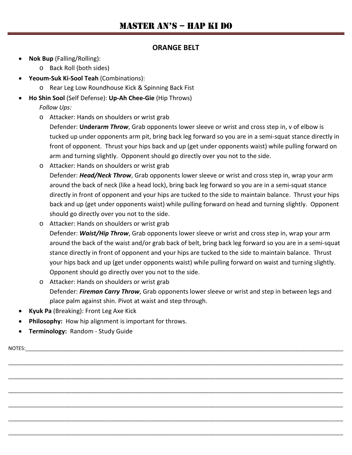#### **ORANGE BELT**

- **Nok Bup** (Falling/Rolling):
	- o Back Roll (both sides)
- **Yeoum-Suk Ki-Sool Teah** (Combinations):
	- o Rear Leg Low Roundhouse Kick & Spinning Back Fist
- **Ho Shin Sool** (Self Defense): **Up-Ah Chee-Gie** (Hip Throws)

*Follow Ups:*

o Attacker: Hands on shoulders or wrist grab

Defender: **Undera***rm Throw*, Grab opponents lower sleeve or wrist and cross step in, v of elbow is tucked up under opponents arm pit, bring back leg forward so you are in a semi-squat stance directly in front of opponent. Thrust your hips back and up (get under opponents waist) while pulling forward on arm and turning slightly. Opponent should go directly over you not to the side.

- o Attacker: Hands on shoulders or wrist grab Defender: *Head/Neck Throw*, Grab opponents lower sleeve or wrist and cross step in, wrap your arm around the back of neck (like a head lock), bring back leg forward so you are in a semi-squat stance directly in front of opponent and your hips are tucked to the side to maintain balance. Thrust your hips back and up (get under opponents waist) while pulling forward on head and turning slightly. Opponent should go directly over you not to the side.
- o Attacker: Hands on shoulders or wrist grab Defender: *Waist/Hip Throw*, Grab opponents lower sleeve or wrist and cross step in, wrap your arm around the back of the waist and/or grab back of belt, bring back leg forward so you are in a semi-squat stance directly in front of opponent and your hips are tucked to the side to maintain balance. Thrust your hips back and up (get under opponents waist) while pulling forward on waist and turning slightly. Opponent should go directly over you not to the side.
- o Attacker: Hands on shoulders or wrist grab Defender: *Fireman Carry Throw*, Grab opponents lower sleeve or wrist and step in between legs and place palm against shin. Pivot at waist and step through.

\_\_\_\_\_\_\_\_\_\_\_\_\_\_\_\_\_\_\_\_\_\_\_\_\_\_\_\_\_\_\_\_\_\_\_\_\_\_\_\_\_\_\_\_\_\_\_\_\_\_\_\_\_\_\_\_\_\_\_\_\_\_\_\_\_\_\_\_\_\_\_\_\_\_\_\_\_\_\_\_\_\_\_\_\_\_\_\_\_\_\_\_\_\_\_\_\_\_\_\_\_\_\_\_\_\_\_\_\_\_\_\_\_\_\_\_\_

\_\_\_\_\_\_\_\_\_\_\_\_\_\_\_\_\_\_\_\_\_\_\_\_\_\_\_\_\_\_\_\_\_\_\_\_\_\_\_\_\_\_\_\_\_\_\_\_\_\_\_\_\_\_\_\_\_\_\_\_\_\_\_\_\_\_\_\_\_\_\_\_\_\_\_\_\_\_\_\_\_\_\_\_\_\_\_\_\_\_\_\_\_\_\_\_\_\_\_\_\_\_\_\_\_\_\_\_\_\_\_\_\_\_\_\_\_

\_\_\_\_\_\_\_\_\_\_\_\_\_\_\_\_\_\_\_\_\_\_\_\_\_\_\_\_\_\_\_\_\_\_\_\_\_\_\_\_\_\_\_\_\_\_\_\_\_\_\_\_\_\_\_\_\_\_\_\_\_\_\_\_\_\_\_\_\_\_\_\_\_\_\_\_\_\_\_\_\_\_\_\_\_\_\_\_\_\_\_\_\_\_\_\_\_\_\_\_\_\_\_\_\_\_\_\_\_\_\_\_\_\_\_\_\_

\_\_\_\_\_\_\_\_\_\_\_\_\_\_\_\_\_\_\_\_\_\_\_\_\_\_\_\_\_\_\_\_\_\_\_\_\_\_\_\_\_\_\_\_\_\_\_\_\_\_\_\_\_\_\_\_\_\_\_\_\_\_\_\_\_\_\_\_\_\_\_\_\_\_\_\_\_\_\_\_\_\_\_\_\_\_\_\_\_\_\_\_\_\_\_\_\_\_\_\_\_\_\_\_\_\_\_\_\_\_\_\_\_\_\_\_\_

\_\_\_\_\_\_\_\_\_\_\_\_\_\_\_\_\_\_\_\_\_\_\_\_\_\_\_\_\_\_\_\_\_\_\_\_\_\_\_\_\_\_\_\_\_\_\_\_\_\_\_\_\_\_\_\_\_\_\_\_\_\_\_\_\_\_\_\_\_\_\_\_\_\_\_\_\_\_\_\_\_\_\_\_\_\_\_\_\_\_\_\_\_\_\_\_\_\_\_\_\_\_\_\_\_\_\_\_\_\_\_\_\_\_\_\_\_

\_\_\_\_\_\_\_\_\_\_\_\_\_\_\_\_\_\_\_\_\_\_\_\_\_\_\_\_\_\_\_\_\_\_\_\_\_\_\_\_\_\_\_\_\_\_\_\_\_\_\_\_\_\_\_\_\_\_\_\_\_\_\_\_\_\_\_\_\_\_\_\_\_\_\_\_\_\_\_\_\_\_\_\_\_\_\_\_\_\_\_\_\_\_\_\_\_\_\_\_\_\_\_\_\_\_\_\_\_\_\_\_\_\_\_\_\_

- **Kyuk Pa** (Breaking): Front Leg Axe Kick
- **Philosophy:** How hip alignment is important for throws.
- **Terminology:** Random Study Guide

NOTES:  $\Box$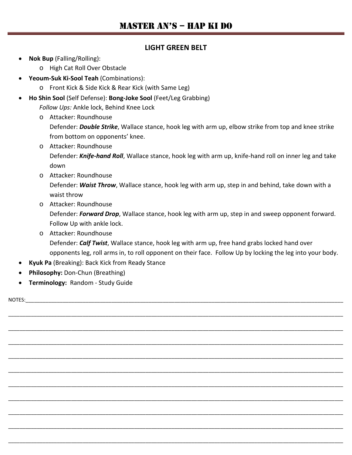#### **LIGHT GREEN BELT**

- **Nok Bup** (Falling/Rolling):
	- o High Cat Roll Over Obstacle
- **Yeoum-Suk Ki-Sool Teah** (Combinations):
	- o Front Kick & Side Kick & Rear Kick (with Same Leg)
- **Ho Shin Sool** (Self Defense): **Bong-Joke Sool** (Feet/Leg Grabbing)

*Follow Ups:* Ankle lock, Behind Knee Lock

o Attacker: Roundhouse

Defender: *Double Strike*, Wallace stance, hook leg with arm up, elbow strike from top and knee strike from bottom on opponents' knee.

- o Attacker: Roundhouse Defender: *Knife-hand Roll*, Wallace stance, hook leg with arm up, knife-hand roll on inner leg and take down
- o Attacker: Roundhouse Defender: *Waist Throw*, Wallace stance, hook leg with arm up, step in and behind, take down with a waist throw
- o Attacker: Roundhouse

Defender: *Forward Drop*, Wallace stance, hook leg with arm up, step in and sweep opponent forward. Follow Up with ankle lock.

o Attacker: Roundhouse Defender: *Calf Twist*, Wallace stance, hook leg with arm up, free hand grabs locked hand over opponents leg, roll arms in, to roll opponent on their face. Follow Up by locking the leg into your body.

\_\_\_\_\_\_\_\_\_\_\_\_\_\_\_\_\_\_\_\_\_\_\_\_\_\_\_\_\_\_\_\_\_\_\_\_\_\_\_\_\_\_\_\_\_\_\_\_\_\_\_\_\_\_\_\_\_\_\_\_\_\_\_\_\_\_\_\_\_\_\_\_\_\_\_\_\_\_\_\_\_\_\_\_\_\_\_\_\_\_\_\_\_\_\_\_\_\_\_\_\_\_\_\_\_\_\_\_\_\_\_\_\_\_\_\_\_

\_\_\_\_\_\_\_\_\_\_\_\_\_\_\_\_\_\_\_\_\_\_\_\_\_\_\_\_\_\_\_\_\_\_\_\_\_\_\_\_\_\_\_\_\_\_\_\_\_\_\_\_\_\_\_\_\_\_\_\_\_\_\_\_\_\_\_\_\_\_\_\_\_\_\_\_\_\_\_\_\_\_\_\_\_\_\_\_\_\_\_\_\_\_\_\_\_\_\_\_\_\_\_\_\_\_\_\_\_\_\_\_\_\_\_\_\_

\_\_\_\_\_\_\_\_\_\_\_\_\_\_\_\_\_\_\_\_\_\_\_\_\_\_\_\_\_\_\_\_\_\_\_\_\_\_\_\_\_\_\_\_\_\_\_\_\_\_\_\_\_\_\_\_\_\_\_\_\_\_\_\_\_\_\_\_\_\_\_\_\_\_\_\_\_\_\_\_\_\_\_\_\_\_\_\_\_\_\_\_\_\_\_\_\_\_\_\_\_\_\_\_\_\_\_\_\_\_\_\_\_\_\_\_\_

- **Kyuk Pa** (Breaking): Back Kick from Ready Stance
- **Philosophy:** Don-Chun (Breathing)
- **Terminology:** Random Study Guide

NOTES: \_\_\_\_\_\_\_\_\_\_\_\_\_\_\_\_\_\_\_\_\_\_\_\_\_\_\_\_\_\_\_\_\_\_\_\_\_\_\_\_\_\_\_\_\_\_\_\_\_\_\_\_\_\_\_\_\_\_\_\_\_\_\_\_\_\_\_\_\_\_\_\_\_\_\_\_\_\_\_\_\_\_\_\_\_\_\_\_\_\_\_\_\_\_\_\_\_\_\_\_\_\_\_\_\_\_\_\_\_\_\_\_\_\_\_\_\_ \_\_\_\_\_\_\_\_\_\_\_\_\_\_\_\_\_\_\_\_\_\_\_\_\_\_\_\_\_\_\_\_\_\_\_\_\_\_\_\_\_\_\_\_\_\_\_\_\_\_\_\_\_\_\_\_\_\_\_\_\_\_\_\_\_\_\_\_\_\_\_\_\_\_\_\_\_\_\_\_\_\_\_\_\_\_\_\_\_\_\_\_\_\_\_\_\_\_\_\_\_\_\_\_\_\_\_\_\_\_\_\_\_\_\_\_\_ \_\_\_\_\_\_\_\_\_\_\_\_\_\_\_\_\_\_\_\_\_\_\_\_\_\_\_\_\_\_\_\_\_\_\_\_\_\_\_\_\_\_\_\_\_\_\_\_\_\_\_\_\_\_\_\_\_\_\_\_\_\_\_\_\_\_\_\_\_\_\_\_\_\_\_\_\_\_\_\_\_\_\_\_\_\_\_\_\_\_\_\_\_\_\_\_\_\_\_\_\_\_\_\_\_\_\_\_\_\_\_\_\_\_\_\_\_ \_\_\_\_\_\_\_\_\_\_\_\_\_\_\_\_\_\_\_\_\_\_\_\_\_\_\_\_\_\_\_\_\_\_\_\_\_\_\_\_\_\_\_\_\_\_\_\_\_\_\_\_\_\_\_\_\_\_\_\_\_\_\_\_\_\_\_\_\_\_\_\_\_\_\_\_\_\_\_\_\_\_\_\_\_\_\_\_\_\_\_\_\_\_\_\_\_\_\_\_\_\_\_\_\_\_\_\_\_\_\_\_\_\_\_\_\_ \_\_\_\_\_\_\_\_\_\_\_\_\_\_\_\_\_\_\_\_\_\_\_\_\_\_\_\_\_\_\_\_\_\_\_\_\_\_\_\_\_\_\_\_\_\_\_\_\_\_\_\_\_\_\_\_\_\_\_\_\_\_\_\_\_\_\_\_\_\_\_\_\_\_\_\_\_\_\_\_\_\_\_\_\_\_\_\_\_\_\_\_\_\_\_\_\_\_\_\_\_\_\_\_\_\_\_\_\_\_\_\_\_\_\_\_\_ \_\_\_\_\_\_\_\_\_\_\_\_\_\_\_\_\_\_\_\_\_\_\_\_\_\_\_\_\_\_\_\_\_\_\_\_\_\_\_\_\_\_\_\_\_\_\_\_\_\_\_\_\_\_\_\_\_\_\_\_\_\_\_\_\_\_\_\_\_\_\_\_\_\_\_\_\_\_\_\_\_\_\_\_\_\_\_\_\_\_\_\_\_\_\_\_\_\_\_\_\_\_\_\_\_\_\_\_\_\_\_\_\_\_\_\_\_ \_\_\_\_\_\_\_\_\_\_\_\_\_\_\_\_\_\_\_\_\_\_\_\_\_\_\_\_\_\_\_\_\_\_\_\_\_\_\_\_\_\_\_\_\_\_\_\_\_\_\_\_\_\_\_\_\_\_\_\_\_\_\_\_\_\_\_\_\_\_\_\_\_\_\_\_\_\_\_\_\_\_\_\_\_\_\_\_\_\_\_\_\_\_\_\_\_\_\_\_\_\_\_\_\_\_\_\_\_\_\_\_\_\_\_\_\_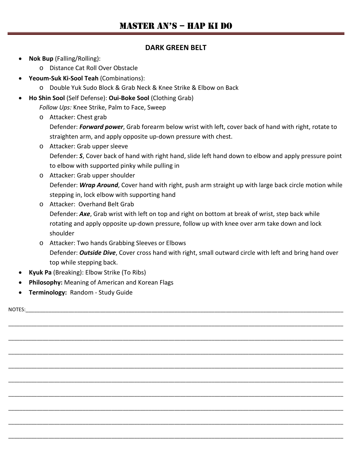#### **DARK GREEN BELT**

- **Nok Bup** (Falling/Rolling):
	- o Distance Cat Roll Over Obstacle
- **Yeoum-Suk Ki-Sool Teah** (Combinations):
	- o Double Yuk Sudo Block & Grab Neck & Knee Strike & Elbow on Back
- **Ho Shin Sool** (Self Defense): **Oui-Boke Sool** (Clothing Grab)

*Follow Ups:* Knee Strike, Palm to Face, Sweep

o Attacker: Chest grab

Defender: *Forward power*, Grab forearm below wrist with left, cover back of hand with right, rotate to straighten arm, and apply opposite up-down pressure with chest.

- o Attacker: Grab upper sleeve Defender: *S*, Cover back of hand with right hand, slide left hand down to elbow and apply pressure point to elbow with supported pinky while pulling in
- o Attacker: Grab upper shoulder Defender: *Wrap Around*, Cover hand with right, push arm straight up with large back circle motion while stepping in, lock elbow with supporting hand
- o Attacker: Overhand Belt Grab Defender: *Axe*, Grab wrist with left on top and right on bottom at break of wrist, step back while rotating and apply opposite up-down pressure, follow up with knee over arm take down and lock shoulder

\_\_\_\_\_\_\_\_\_\_\_\_\_\_\_\_\_\_\_\_\_\_\_\_\_\_\_\_\_\_\_\_\_\_\_\_\_\_\_\_\_\_\_\_\_\_\_\_\_\_\_\_\_\_\_\_\_\_\_\_\_\_\_\_\_\_\_\_\_\_\_\_\_\_\_\_\_\_\_\_\_\_\_\_\_\_\_\_\_\_\_\_\_\_\_\_\_\_\_\_\_\_\_\_\_\_\_\_\_\_\_\_\_\_\_\_\_

\_\_\_\_\_\_\_\_\_\_\_\_\_\_\_\_\_\_\_\_\_\_\_\_\_\_\_\_\_\_\_\_\_\_\_\_\_\_\_\_\_\_\_\_\_\_\_\_\_\_\_\_\_\_\_\_\_\_\_\_\_\_\_\_\_\_\_\_\_\_\_\_\_\_\_\_\_\_\_\_\_\_\_\_\_\_\_\_\_\_\_\_\_\_\_\_\_\_\_\_\_\_\_\_\_\_\_\_\_\_\_\_\_\_\_\_\_

\_\_\_\_\_\_\_\_\_\_\_\_\_\_\_\_\_\_\_\_\_\_\_\_\_\_\_\_\_\_\_\_\_\_\_\_\_\_\_\_\_\_\_\_\_\_\_\_\_\_\_\_\_\_\_\_\_\_\_\_\_\_\_\_\_\_\_\_\_\_\_\_\_\_\_\_\_\_\_\_\_\_\_\_\_\_\_\_\_\_\_\_\_\_\_\_\_\_\_\_\_\_\_\_\_\_\_\_\_\_\_\_\_\_\_\_\_

\_\_\_\_\_\_\_\_\_\_\_\_\_\_\_\_\_\_\_\_\_\_\_\_\_\_\_\_\_\_\_\_\_\_\_\_\_\_\_\_\_\_\_\_\_\_\_\_\_\_\_\_\_\_\_\_\_\_\_\_\_\_\_\_\_\_\_\_\_\_\_\_\_\_\_\_\_\_\_\_\_\_\_\_\_\_\_\_\_\_\_\_\_\_\_\_\_\_\_\_\_\_\_\_\_\_\_\_\_\_\_\_\_\_\_\_\_

\_\_\_\_\_\_\_\_\_\_\_\_\_\_\_\_\_\_\_\_\_\_\_\_\_\_\_\_\_\_\_\_\_\_\_\_\_\_\_\_\_\_\_\_\_\_\_\_\_\_\_\_\_\_\_\_\_\_\_\_\_\_\_\_\_\_\_\_\_\_\_\_\_\_\_\_\_\_\_\_\_\_\_\_\_\_\_\_\_\_\_\_\_\_\_\_\_\_\_\_\_\_\_\_\_\_\_\_\_\_\_\_\_\_\_\_\_

\_\_\_\_\_\_\_\_\_\_\_\_\_\_\_\_\_\_\_\_\_\_\_\_\_\_\_\_\_\_\_\_\_\_\_\_\_\_\_\_\_\_\_\_\_\_\_\_\_\_\_\_\_\_\_\_\_\_\_\_\_\_\_\_\_\_\_\_\_\_\_\_\_\_\_\_\_\_\_\_\_\_\_\_\_\_\_\_\_\_\_\_\_\_\_\_\_\_\_\_\_\_\_\_\_\_\_\_\_\_\_\_\_\_\_\_\_

\_\_\_\_\_\_\_\_\_\_\_\_\_\_\_\_\_\_\_\_\_\_\_\_\_\_\_\_\_\_\_\_\_\_\_\_\_\_\_\_\_\_\_\_\_\_\_\_\_\_\_\_\_\_\_\_\_\_\_\_\_\_\_\_\_\_\_\_\_\_\_\_\_\_\_\_\_\_\_\_\_\_\_\_\_\_\_\_\_\_\_\_\_\_\_\_\_\_\_\_\_\_\_\_\_\_\_\_\_\_\_\_\_\_\_\_\_

\_\_\_\_\_\_\_\_\_\_\_\_\_\_\_\_\_\_\_\_\_\_\_\_\_\_\_\_\_\_\_\_\_\_\_\_\_\_\_\_\_\_\_\_\_\_\_\_\_\_\_\_\_\_\_\_\_\_\_\_\_\_\_\_\_\_\_\_\_\_\_\_\_\_\_\_\_\_\_\_\_\_\_\_\_\_\_\_\_\_\_\_\_\_\_\_\_\_\_\_\_\_\_\_\_\_\_\_\_\_\_\_\_\_\_\_\_

\_\_\_\_\_\_\_\_\_\_\_\_\_\_\_\_\_\_\_\_\_\_\_\_\_\_\_\_\_\_\_\_\_\_\_\_\_\_\_\_\_\_\_\_\_\_\_\_\_\_\_\_\_\_\_\_\_\_\_\_\_\_\_\_\_\_\_\_\_\_\_\_\_\_\_\_\_\_\_\_\_\_\_\_\_\_\_\_\_\_\_\_\_\_\_\_\_\_\_\_\_\_\_\_\_\_\_\_\_\_\_\_\_\_\_\_\_

- o Attacker: Two hands Grabbing Sleeves or Elbows Defender: *Outside Dive*, Cover cross hand with right, small outward circle with left and bring hand over top while stepping back.
- **Kyuk Pa** (Breaking): Elbow Strike (To Ribs)
- **Philosophy:** Meaning of American and Korean Flags
- **Terminology:** Random Study Guide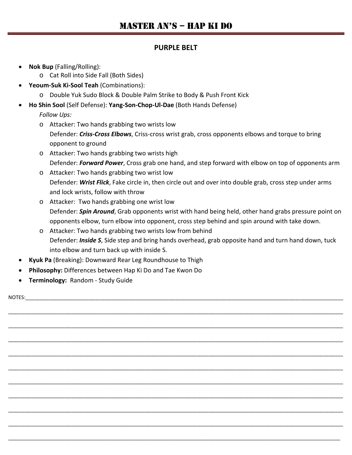#### **PURPLE BELT**

- **Nok Bup** (Falling/Rolling):
	- o Cat Roll into Side Fall (Both Sides)
	- **Yeoum-Suk Ki-Sool Teah** (Combinations):
		- o Double Yuk Sudo Block & Double Palm Strike to Body & Push Front Kick
- **Ho Shin Sool** (Self Defense): **Yang-Son-Chop-Ul-Dae** (Both Hands Defense)

*Follow Ups:*

- o Attacker: Two hands grabbing two wrists low Defender: *Criss-Cross Elbows*, Criss-cross wrist grab, cross opponents elbows and torque to bring opponent to ground
- o Attacker: Two hands grabbing two wrists high Defender: *Forward Power*, Cross grab one hand, and step forward with elbow on top of opponents arm
- o Attacker: Two hands grabbing two wrist low Defender: *Wrist Flick*, Fake circle in, then circle out and over into double grab, cross step under arms and lock wrists, follow with throw
- o Attacker: Two hands grabbing one wrist low Defender: *Spin Around*, Grab opponents wrist with hand being held, other hand grabs pressure point on opponents elbow, turn elbow into opponent, cross step behind and spin around with take down.
- o Attacker: Two hands grabbing two wrists low from behind Defender: *Inside S*, Side step and bring hands overhead, grab opposite hand and turn hand down, tuck into elbow and turn back up with inside S.

\_\_\_\_\_\_\_\_\_\_\_\_\_\_\_\_\_\_\_\_\_\_\_\_\_\_\_\_\_\_\_\_\_\_\_\_\_\_\_\_\_\_\_\_\_\_\_\_\_\_\_\_\_\_\_\_\_\_\_\_\_\_\_\_\_\_\_\_\_\_\_\_\_\_\_\_\_\_\_\_\_\_\_\_\_\_\_\_\_\_\_\_\_\_\_\_\_\_\_\_\_\_\_\_\_\_\_\_\_\_\_\_\_\_\_\_\_

\_\_\_\_\_\_\_\_\_\_\_\_\_\_\_\_\_\_\_\_\_\_\_\_\_\_\_\_\_\_\_\_\_\_\_\_\_\_\_\_\_\_\_\_\_\_\_\_\_\_\_\_\_\_\_\_\_\_\_\_\_\_\_\_\_\_\_\_\_\_\_\_\_\_\_\_\_\_\_\_\_\_\_\_\_\_\_\_\_\_\_\_\_\_\_\_\_\_\_\_\_\_\_\_\_\_\_\_\_\_\_\_\_\_\_\_\_

\_\_\_\_\_\_\_\_\_\_\_\_\_\_\_\_\_\_\_\_\_\_\_\_\_\_\_\_\_\_\_\_\_\_\_\_\_\_\_\_\_\_\_\_\_\_\_\_\_\_\_\_\_\_\_\_\_\_\_\_\_\_\_\_\_\_\_\_\_\_\_\_\_\_\_\_\_\_\_\_\_\_\_\_\_\_\_\_\_\_\_\_\_\_\_\_\_\_\_\_\_\_\_\_\_\_\_\_\_\_\_\_\_\_\_\_\_

\_\_\_\_\_\_\_\_\_\_\_\_\_\_\_\_\_\_\_\_\_\_\_\_\_\_\_\_\_\_\_\_\_\_\_\_\_\_\_\_\_\_\_\_\_\_\_\_\_\_\_\_\_\_\_\_\_\_\_\_\_\_\_\_\_\_\_\_\_\_\_\_\_\_\_\_\_\_\_\_\_\_\_\_\_\_\_\_\_\_\_\_\_\_\_\_\_\_\_\_\_\_\_\_\_\_\_\_\_\_\_\_\_\_\_\_\_

\_\_\_\_\_\_\_\_\_\_\_\_\_\_\_\_\_\_\_\_\_\_\_\_\_\_\_\_\_\_\_\_\_\_\_\_\_\_\_\_\_\_\_\_\_\_\_\_\_\_\_\_\_\_\_\_\_\_\_\_\_\_\_\_\_\_\_\_\_\_\_\_\_\_\_\_\_\_\_\_\_\_\_\_\_\_\_\_\_\_\_\_\_\_\_\_\_\_\_\_\_\_\_\_\_\_\_\_\_\_\_\_\_\_\_\_\_

\_\_\_\_\_\_\_\_\_\_\_\_\_\_\_\_\_\_\_\_\_\_\_\_\_\_\_\_\_\_\_\_\_\_\_\_\_\_\_\_\_\_\_\_\_\_\_\_\_\_\_\_\_\_\_\_\_\_\_\_\_\_\_\_\_\_\_\_\_\_\_\_\_\_\_\_\_\_\_\_\_\_\_\_\_\_\_\_\_\_\_\_\_\_\_\_\_\_\_\_\_\_\_\_\_\_\_\_\_\_\_\_\_\_\_\_\_

\_\_\_\_\_\_\_\_\_\_\_\_\_\_\_\_\_\_\_\_\_\_\_\_\_\_\_\_\_\_\_\_\_\_\_\_\_\_\_\_\_\_\_\_\_\_\_\_\_\_\_\_\_\_\_\_\_\_\_\_\_\_\_\_\_\_\_\_\_\_\_\_\_\_\_\_\_\_\_\_\_\_\_\_\_\_\_\_\_\_\_\_\_\_\_\_\_\_\_\_\_\_\_\_\_\_\_\_\_\_\_\_\_\_\_\_\_

\_\_\_\_\_\_\_\_\_\_\_\_\_\_\_\_\_\_\_\_\_\_\_\_\_\_\_\_\_\_\_\_\_\_\_\_\_\_\_\_\_\_\_\_\_\_\_\_\_\_\_\_\_\_\_\_\_\_\_\_\_\_\_\_\_\_\_\_\_\_\_\_\_\_\_\_\_\_\_\_\_\_\_\_\_\_\_\_\_\_\_\_\_\_\_\_\_\_\_\_\_\_\_\_\_\_\_\_\_\_\_\_\_\_\_\_\_

\_\_\_\_\_\_\_\_\_\_\_\_\_\_\_\_\_\_\_\_\_\_\_\_\_\_\_\_\_\_\_\_\_\_\_\_\_\_\_\_\_\_\_\_\_\_\_\_\_\_\_\_\_\_\_\_\_\_\_\_\_\_\_\_\_\_\_\_\_\_\_\_\_\_\_\_\_\_\_\_\_\_\_\_\_\_\_\_\_\_\_\_\_\_\_\_\_\_\_\_\_\_\_\_\_\_\_\_\_\_\_\_\_\_\_\_\_

\_\_\_\_\_\_\_\_\_\_\_\_\_\_\_\_\_\_\_\_\_\_\_\_\_\_\_\_\_\_\_\_\_\_\_\_\_\_\_\_\_\_\_\_\_\_\_\_\_\_\_\_\_\_\_\_\_\_\_\_\_\_\_\_\_\_\_\_\_\_\_\_\_\_\_\_\_\_\_\_\_\_\_\_\_\_\_\_\_\_\_\_\_\_\_\_\_\_\_\_\_\_\_\_\_\_\_\_\_\_\_\_\_\_\_\_

- **Kyuk Pa** (Breaking): Downward Rear Leg Roundhouse to Thigh
- **Philosophy:** Differences between Hap Ki Do and Tae Kwon Do
- **Terminology:** Random Study Guide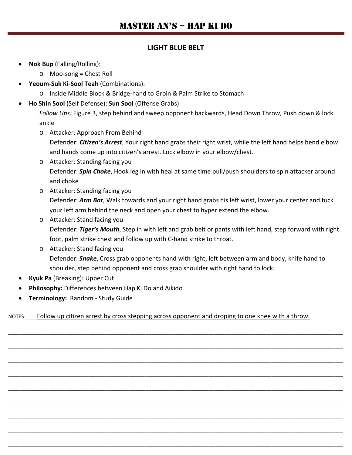#### **LIGHT BLUE BELT**

- **Nok Bup** (Falling/Rolling):
	- o Moo-song = Chest Roll
- **Yeoum-Suk Ki-Sool Teah** (Combinations):
	- o Inside Middle Block & Bridge-hand to Groin & Palm Strike to Stomach
- **Ho Shin Sool** (Self Defense): **Sun Sool** (Offense Grabs)

*Follow Ups:* Figure 3, step behind and sweep opponent backwards, Head Down Throw, Push down & lock ankle

o Attacker: Approach From Behind

Defender: *Citizen's Arrest*, Your right hand grabs their right wrist, while the left hand helps bend elbow and hands come up into citizen's arrest. Lock elbow in your elbow/chest.

- o Attacker: Standing facing you Defender: *Spin Choke*, Hook leg in with heal at same time pull/push shoulders to spin attacker around and choke
- o Attacker: Standing facing you Defender: *Arm Bar*, Walk towards and your right hand grabs his left wrist, lower your center and tuck your left arm behind the neck and open your chest to hyper extend the elbow.
- o Attacker: Stand facing you Defender: *Tiger's Mouth*, Step in with left and grab belt or pants with left hand, step forward with right foot, palm strike chest and follow up with C-hand strike to throat.
- o Attacker: Stand facing you Defender: *Snake*, Cross grab opponents hand with right, left between arm and body, knife hand to shoulder, step behind opponent and cross grab shoulder with right hand to lock.
- **Kyuk Pa** (Breaking): Upper Cut
- **Philosophy:** Differences between Hap Ki Do and Aikido
- **Terminology:** Random Study Guide

NOTES: Follow up citizen arrest by cross stepping across opponent and droping to one knee with a throw.

\_\_\_\_\_\_\_\_\_\_\_\_\_\_\_\_\_\_\_\_\_\_\_\_\_\_\_\_\_\_\_\_\_\_\_\_\_\_\_\_\_\_\_\_\_\_\_\_\_\_\_\_\_\_\_\_\_\_\_\_\_\_\_\_\_\_\_\_\_\_\_\_\_\_\_\_\_\_\_\_\_\_\_\_\_\_\_\_\_\_\_\_\_\_\_\_\_\_\_\_\_\_\_\_\_\_\_\_\_\_\_\_\_\_\_\_\_

\_\_\_\_\_\_\_\_\_\_\_\_\_\_\_\_\_\_\_\_\_\_\_\_\_\_\_\_\_\_\_\_\_\_\_\_\_\_\_\_\_\_\_\_\_\_\_\_\_\_\_\_\_\_\_\_\_\_\_\_\_\_\_\_\_\_\_\_\_\_\_\_\_\_\_\_\_\_\_\_\_\_\_\_\_\_\_\_\_\_\_\_\_\_\_\_\_\_\_\_\_\_\_\_\_\_\_\_\_\_\_\_\_\_\_\_\_

\_\_\_\_\_\_\_\_\_\_\_\_\_\_\_\_\_\_\_\_\_\_\_\_\_\_\_\_\_\_\_\_\_\_\_\_\_\_\_\_\_\_\_\_\_\_\_\_\_\_\_\_\_\_\_\_\_\_\_\_\_\_\_\_\_\_\_\_\_\_\_\_\_\_\_\_\_\_\_\_\_\_\_\_\_\_\_\_\_\_\_\_\_\_\_\_\_\_\_\_\_\_\_\_\_\_\_\_\_\_\_\_\_\_\_\_\_

\_\_\_\_\_\_\_\_\_\_\_\_\_\_\_\_\_\_\_\_\_\_\_\_\_\_\_\_\_\_\_\_\_\_\_\_\_\_\_\_\_\_\_\_\_\_\_\_\_\_\_\_\_\_\_\_\_\_\_\_\_\_\_\_\_\_\_\_\_\_\_\_\_\_\_\_\_\_\_\_\_\_\_\_\_\_\_\_\_\_\_\_\_\_\_\_\_\_\_\_\_\_\_\_\_\_\_\_\_\_\_\_\_\_\_\_\_

\_\_\_\_\_\_\_\_\_\_\_\_\_\_\_\_\_\_\_\_\_\_\_\_\_\_\_\_\_\_\_\_\_\_\_\_\_\_\_\_\_\_\_\_\_\_\_\_\_\_\_\_\_\_\_\_\_\_\_\_\_\_\_\_\_\_\_\_\_\_\_\_\_\_\_\_\_\_\_\_\_\_\_\_\_\_\_\_\_\_\_\_\_\_\_\_\_\_\_\_\_\_\_\_\_\_\_\_\_\_\_\_\_\_\_\_\_

\_\_\_\_\_\_\_\_\_\_\_\_\_\_\_\_\_\_\_\_\_\_\_\_\_\_\_\_\_\_\_\_\_\_\_\_\_\_\_\_\_\_\_\_\_\_\_\_\_\_\_\_\_\_\_\_\_\_\_\_\_\_\_\_\_\_\_\_\_\_\_\_\_\_\_\_\_\_\_\_\_\_\_\_\_\_\_\_\_\_\_\_\_\_\_\_\_\_\_\_\_\_\_\_\_\_\_\_\_\_\_\_\_\_\_\_\_

\_\_\_\_\_\_\_\_\_\_\_\_\_\_\_\_\_\_\_\_\_\_\_\_\_\_\_\_\_\_\_\_\_\_\_\_\_\_\_\_\_\_\_\_\_\_\_\_\_\_\_\_\_\_\_\_\_\_\_\_\_\_\_\_\_\_\_\_\_\_\_\_\_\_\_\_\_\_\_\_\_\_\_\_\_\_\_\_\_\_\_\_\_\_\_\_\_\_\_\_\_\_\_\_\_\_\_\_\_\_\_\_\_\_\_\_\_

\_\_\_\_\_\_\_\_\_\_\_\_\_\_\_\_\_\_\_\_\_\_\_\_\_\_\_\_\_\_\_\_\_\_\_\_\_\_\_\_\_\_\_\_\_\_\_\_\_\_\_\_\_\_\_\_\_\_\_\_\_\_\_\_\_\_\_\_\_\_\_\_\_\_\_\_\_\_\_\_\_\_\_\_\_\_\_\_\_\_\_\_\_\_\_\_\_\_\_\_\_\_\_\_\_\_\_\_\_\_\_\_\_\_\_\_\_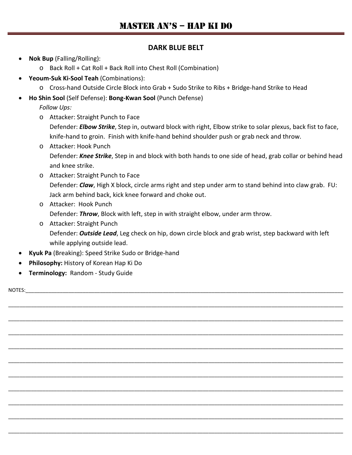#### **DARK BLUE BELT**

- **Nok Bup** (Falling/Rolling):
	- o Back Roll + Cat Roll + Back Roll into Chest Roll (Combination)
- **Yeoum-Suk Ki-Sool Teah** (Combinations):
	- o Cross-hand Outside Circle Block into Grab + Sudo Strike to Ribs + Bridge-hand Strike to Head
- **Ho Shin Sool** (Self Defense): **Bong-Kwan Sool** (Punch Defense)

*Follow Ups:*

o Attacker: Straight Punch to Face

Defender: *Elbow Strike*, Step in, outward block with right, Elbow strike to solar plexus, back fist to face, knife-hand to groin. Finish with knife-hand behind shoulder push or grab neck and throw.

- o Attacker: Hook Punch Defender: *Knee Strike*, Step in and block with both hands to one side of head, grab collar or behind head and knee strike.
- o Attacker: Straight Punch to Face Defender: *Claw*, High X block, circle arms right and step under arm to stand behind into claw grab. FU: Jack arm behind back, kick knee forward and choke out.
- o Attacker: Hook Punch Defender: *Throw*, Block with left, step in with straight elbow, under arm throw.
- o Attacker: Straight Punch Defender: *Outside Lead*, Leg check on hip, down circle block and grab wrist, step backward with left while applying outside lead.

\_\_\_\_\_\_\_\_\_\_\_\_\_\_\_\_\_\_\_\_\_\_\_\_\_\_\_\_\_\_\_\_\_\_\_\_\_\_\_\_\_\_\_\_\_\_\_\_\_\_\_\_\_\_\_\_\_\_\_\_\_\_\_\_\_\_\_\_\_\_\_\_\_\_\_\_\_\_\_\_\_\_\_\_\_\_\_\_\_\_\_\_\_\_\_\_\_\_\_\_\_\_\_\_\_\_\_\_\_\_\_\_\_\_\_\_\_

\_\_\_\_\_\_\_\_\_\_\_\_\_\_\_\_\_\_\_\_\_\_\_\_\_\_\_\_\_\_\_\_\_\_\_\_\_\_\_\_\_\_\_\_\_\_\_\_\_\_\_\_\_\_\_\_\_\_\_\_\_\_\_\_\_\_\_\_\_\_\_\_\_\_\_\_\_\_\_\_\_\_\_\_\_\_\_\_\_\_\_\_\_\_\_\_\_\_\_\_\_\_\_\_\_\_\_\_\_\_\_\_\_\_\_\_\_

\_\_\_\_\_\_\_\_\_\_\_\_\_\_\_\_\_\_\_\_\_\_\_\_\_\_\_\_\_\_\_\_\_\_\_\_\_\_\_\_\_\_\_\_\_\_\_\_\_\_\_\_\_\_\_\_\_\_\_\_\_\_\_\_\_\_\_\_\_\_\_\_\_\_\_\_\_\_\_\_\_\_\_\_\_\_\_\_\_\_\_\_\_\_\_\_\_\_\_\_\_\_\_\_\_\_\_\_\_\_\_\_\_\_\_\_\_

\_\_\_\_\_\_\_\_\_\_\_\_\_\_\_\_\_\_\_\_\_\_\_\_\_\_\_\_\_\_\_\_\_\_\_\_\_\_\_\_\_\_\_\_\_\_\_\_\_\_\_\_\_\_\_\_\_\_\_\_\_\_\_\_\_\_\_\_\_\_\_\_\_\_\_\_\_\_\_\_\_\_\_\_\_\_\_\_\_\_\_\_\_\_\_\_\_\_\_\_\_\_\_\_\_\_\_\_\_\_\_\_\_\_\_\_\_

\_\_\_\_\_\_\_\_\_\_\_\_\_\_\_\_\_\_\_\_\_\_\_\_\_\_\_\_\_\_\_\_\_\_\_\_\_\_\_\_\_\_\_\_\_\_\_\_\_\_\_\_\_\_\_\_\_\_\_\_\_\_\_\_\_\_\_\_\_\_\_\_\_\_\_\_\_\_\_\_\_\_\_\_\_\_\_\_\_\_\_\_\_\_\_\_\_\_\_\_\_\_\_\_\_\_\_\_\_\_\_\_\_\_\_\_\_

\_\_\_\_\_\_\_\_\_\_\_\_\_\_\_\_\_\_\_\_\_\_\_\_\_\_\_\_\_\_\_\_\_\_\_\_\_\_\_\_\_\_\_\_\_\_\_\_\_\_\_\_\_\_\_\_\_\_\_\_\_\_\_\_\_\_\_\_\_\_\_\_\_\_\_\_\_\_\_\_\_\_\_\_\_\_\_\_\_\_\_\_\_\_\_\_\_\_\_\_\_\_\_\_\_\_\_\_\_\_\_\_\_\_\_\_\_

\_\_\_\_\_\_\_\_\_\_\_\_\_\_\_\_\_\_\_\_\_\_\_\_\_\_\_\_\_\_\_\_\_\_\_\_\_\_\_\_\_\_\_\_\_\_\_\_\_\_\_\_\_\_\_\_\_\_\_\_\_\_\_\_\_\_\_\_\_\_\_\_\_\_\_\_\_\_\_\_\_\_\_\_\_\_\_\_\_\_\_\_\_\_\_\_\_\_\_\_\_\_\_\_\_\_\_\_\_\_\_\_\_\_\_\_\_

\_\_\_\_\_\_\_\_\_\_\_\_\_\_\_\_\_\_\_\_\_\_\_\_\_\_\_\_\_\_\_\_\_\_\_\_\_\_\_\_\_\_\_\_\_\_\_\_\_\_\_\_\_\_\_\_\_\_\_\_\_\_\_\_\_\_\_\_\_\_\_\_\_\_\_\_\_\_\_\_\_\_\_\_\_\_\_\_\_\_\_\_\_\_\_\_\_\_\_\_\_\_\_\_\_\_\_\_\_\_\_\_\_\_\_\_\_

\_\_\_\_\_\_\_\_\_\_\_\_\_\_\_\_\_\_\_\_\_\_\_\_\_\_\_\_\_\_\_\_\_\_\_\_\_\_\_\_\_\_\_\_\_\_\_\_\_\_\_\_\_\_\_\_\_\_\_\_\_\_\_\_\_\_\_\_\_\_\_\_\_\_\_\_\_\_\_\_\_\_\_\_\_\_\_\_\_\_\_\_\_\_\_\_\_\_\_\_\_\_\_\_\_\_\_\_\_\_\_\_\_\_\_\_\_

\_\_\_\_\_\_\_\_\_\_\_\_\_\_\_\_\_\_\_\_\_\_\_\_\_\_\_\_\_\_\_\_\_\_\_\_\_\_\_\_\_\_\_\_\_\_\_\_\_\_\_\_\_\_\_\_\_\_\_\_\_\_\_\_\_\_\_\_\_\_\_\_\_\_\_\_\_\_\_\_\_\_\_\_\_\_\_\_\_\_\_\_\_\_\_\_\_\_\_\_\_\_\_\_\_\_\_\_\_\_\_\_\_\_\_\_\_

- **Kyuk Pa** (Breaking): Speed Strike Sudo or Bridge-hand
- **Philosophy:** History of Korean Hap Ki Do
- **Terminology:** Random Study Guide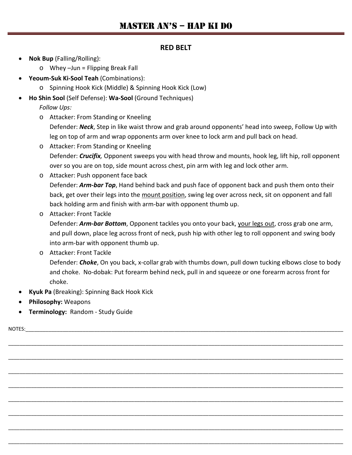#### **RED BELT**

- **Nok Bup** (Falling/Rolling):
	- o Whey –Jun = Flipping Break Fall
- **Yeoum-Suk Ki-Sool Teah** (Combinations):
	- o Spinning Hook Kick (Middle) & Spinning Hook Kick (Low)
- **Ho Shin Sool** (Self Defense): **Wa-Sool** (Ground Techniques)

*Follow Ups:*

- o Attacker: From Standing or Kneeling Defender: *Neck*, Step in like waist throw and grab around opponents' head into sweep, Follow Up with leg on top of arm and wrap opponents arm over knee to lock arm and pull back on head.
- o Attacker: From Standing or Kneeling Defender: *Crucifix,* Opponent sweeps you with head throw and mounts, hook leg, lift hip, roll opponent over so you are on top, side mount across chest, pin arm with leg and lock other arm.
- o Attacker: Push opponent face back Defender: *Arm-bar Top*, Hand behind back and push face of opponent back and push them onto their back, get over their legs into the mount position, swing leg over across neck, sit on opponent and fall back holding arm and finish with arm-bar with opponent thumb up.
- o Attacker: Front Tackle

Defender: *Arm-bar Bottom*, Opponent tackles you onto your back, your legs out, cross grab one arm, and pull down, place leg across front of neck, push hip with other leg to roll opponent and swing body into arm-bar with opponent thumb up.

o Attacker: Front Tackle Defender: *Choke*, On you back, x-collar grab with thumbs down, pull down tucking elbows close to body and choke. No-dobak: Put forearm behind neck, pull in and squeeze or one forearm across front for choke.

\_\_\_\_\_\_\_\_\_\_\_\_\_\_\_\_\_\_\_\_\_\_\_\_\_\_\_\_\_\_\_\_\_\_\_\_\_\_\_\_\_\_\_\_\_\_\_\_\_\_\_\_\_\_\_\_\_\_\_\_\_\_\_\_\_\_\_\_\_\_\_\_\_\_\_\_\_\_\_\_\_\_\_\_\_\_\_\_\_\_\_\_\_\_\_\_\_\_\_\_\_\_\_\_\_\_\_\_\_\_\_\_\_\_\_\_\_

\_\_\_\_\_\_\_\_\_\_\_\_\_\_\_\_\_\_\_\_\_\_\_\_\_\_\_\_\_\_\_\_\_\_\_\_\_\_\_\_\_\_\_\_\_\_\_\_\_\_\_\_\_\_\_\_\_\_\_\_\_\_\_\_\_\_\_\_\_\_\_\_\_\_\_\_\_\_\_\_\_\_\_\_\_\_\_\_\_\_\_\_\_\_\_\_\_\_\_\_\_\_\_\_\_\_\_\_\_\_\_\_\_\_\_\_\_

\_\_\_\_\_\_\_\_\_\_\_\_\_\_\_\_\_\_\_\_\_\_\_\_\_\_\_\_\_\_\_\_\_\_\_\_\_\_\_\_\_\_\_\_\_\_\_\_\_\_\_\_\_\_\_\_\_\_\_\_\_\_\_\_\_\_\_\_\_\_\_\_\_\_\_\_\_\_\_\_\_\_\_\_\_\_\_\_\_\_\_\_\_\_\_\_\_\_\_\_\_\_\_\_\_\_\_\_\_\_\_\_\_\_\_\_\_

\_\_\_\_\_\_\_\_\_\_\_\_\_\_\_\_\_\_\_\_\_\_\_\_\_\_\_\_\_\_\_\_\_\_\_\_\_\_\_\_\_\_\_\_\_\_\_\_\_\_\_\_\_\_\_\_\_\_\_\_\_\_\_\_\_\_\_\_\_\_\_\_\_\_\_\_\_\_\_\_\_\_\_\_\_\_\_\_\_\_\_\_\_\_\_\_\_\_\_\_\_\_\_\_\_\_\_\_\_\_\_\_\_\_\_\_\_

\_\_\_\_\_\_\_\_\_\_\_\_\_\_\_\_\_\_\_\_\_\_\_\_\_\_\_\_\_\_\_\_\_\_\_\_\_\_\_\_\_\_\_\_\_\_\_\_\_\_\_\_\_\_\_\_\_\_\_\_\_\_\_\_\_\_\_\_\_\_\_\_\_\_\_\_\_\_\_\_\_\_\_\_\_\_\_\_\_\_\_\_\_\_\_\_\_\_\_\_\_\_\_\_\_\_\_\_\_\_\_\_\_\_\_\_\_

\_\_\_\_\_\_\_\_\_\_\_\_\_\_\_\_\_\_\_\_\_\_\_\_\_\_\_\_\_\_\_\_\_\_\_\_\_\_\_\_\_\_\_\_\_\_\_\_\_\_\_\_\_\_\_\_\_\_\_\_\_\_\_\_\_\_\_\_\_\_\_\_\_\_\_\_\_\_\_\_\_\_\_\_\_\_\_\_\_\_\_\_\_\_\_\_\_\_\_\_\_\_\_\_\_\_\_\_\_\_\_\_\_\_\_\_\_

\_\_\_\_\_\_\_\_\_\_\_\_\_\_\_\_\_\_\_\_\_\_\_\_\_\_\_\_\_\_\_\_\_\_\_\_\_\_\_\_\_\_\_\_\_\_\_\_\_\_\_\_\_\_\_\_\_\_\_\_\_\_\_\_\_\_\_\_\_\_\_\_\_\_\_\_\_\_\_\_\_\_\_\_\_\_\_\_\_\_\_\_\_\_\_\_\_\_\_\_\_\_\_\_\_\_\_\_\_\_\_\_\_\_\_\_\_

\_\_\_\_\_\_\_\_\_\_\_\_\_\_\_\_\_\_\_\_\_\_\_\_\_\_\_\_\_\_\_\_\_\_\_\_\_\_\_\_\_\_\_\_\_\_\_\_\_\_\_\_\_\_\_\_\_\_\_\_\_\_\_\_\_\_\_\_\_\_\_\_\_\_\_\_\_\_\_\_\_\_\_\_\_\_\_\_\_\_\_\_\_\_\_\_\_\_\_\_\_\_\_\_\_\_\_\_\_\_\_\_\_\_\_\_\_

- **Kyuk Pa** (Breaking): Spinning Back Hook Kick
- **Philosophy:** Weapons
- **Terminology:** Random Study Guide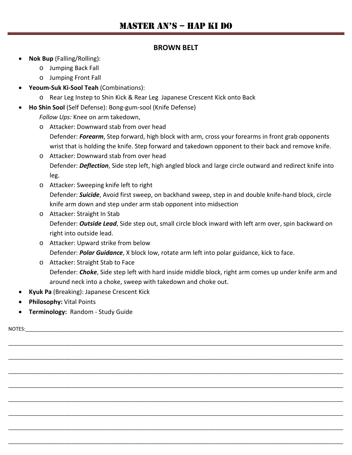#### **BROWN BELT**

- **Nok Bup** (Falling/Rolling):
	- o Jumping Back Fall
	- o Jumping Front Fall
- **Yeoum-Suk Ki-Sool Teah** (Combinations):
	- o Rear Leg Instep to Shin Kick & Rear Leg Japanese Crescent Kick onto Back
- **Ho Shin Sool** (Self Defense): Bong-gum-sool (Knife Defense)

*Follow Ups:* Knee on arm takedown,

- o Attacker: Downward stab from over head Defender: *Forearm*, Step forward, high block with arm, cross your forearms in front grab opponents wrist that is holding the knife. Step forward and takedown opponent to their back and remove knife.
- o Attacker: Downward stab from over head Defender: *Deflection*, Side step left, high angled block and large circle outward and redirect knife into leg.
- o Attacker: Sweeping knife left to right Defender: *Suicide*, Avoid first sweep, on backhand sweep, step in and double knife-hand block, circle knife arm down and step under arm stab opponent into midsection
- o Attacker: Straight In Stab Defender: *Outside Lead*, Side step out, small circle block inward with left arm over, spin backward on right into outside lead.
- o Attacker: Upward strike from below Defender: *Polar Guidance*, X block low, rotate arm left into polar guidance, kick to face.
- o Attacker: Straight Stab to Face Defender: *Choke*, Side step left with hard inside middle block, right arm comes up under knife arm and around neck into a choke, sweep with takedown and choke out.

\_\_\_\_\_\_\_\_\_\_\_\_\_\_\_\_\_\_\_\_\_\_\_\_\_\_\_\_\_\_\_\_\_\_\_\_\_\_\_\_\_\_\_\_\_\_\_\_\_\_\_\_\_\_\_\_\_\_\_\_\_\_\_\_\_\_\_\_\_\_\_\_\_\_\_\_\_\_\_\_\_\_\_\_\_\_\_\_\_\_\_\_\_\_\_\_\_\_\_\_\_\_\_\_\_\_\_\_\_\_\_\_\_\_\_\_\_

\_\_\_\_\_\_\_\_\_\_\_\_\_\_\_\_\_\_\_\_\_\_\_\_\_\_\_\_\_\_\_\_\_\_\_\_\_\_\_\_\_\_\_\_\_\_\_\_\_\_\_\_\_\_\_\_\_\_\_\_\_\_\_\_\_\_\_\_\_\_\_\_\_\_\_\_\_\_\_\_\_\_\_\_\_\_\_\_\_\_\_\_\_\_\_\_\_\_\_\_\_\_\_\_\_\_\_\_\_\_\_\_\_\_\_\_\_

\_\_\_\_\_\_\_\_\_\_\_\_\_\_\_\_\_\_\_\_\_\_\_\_\_\_\_\_\_\_\_\_\_\_\_\_\_\_\_\_\_\_\_\_\_\_\_\_\_\_\_\_\_\_\_\_\_\_\_\_\_\_\_\_\_\_\_\_\_\_\_\_\_\_\_\_\_\_\_\_\_\_\_\_\_\_\_\_\_\_\_\_\_\_\_\_\_\_\_\_\_\_\_\_\_\_\_\_\_\_\_\_\_\_\_\_\_

\_\_\_\_\_\_\_\_\_\_\_\_\_\_\_\_\_\_\_\_\_\_\_\_\_\_\_\_\_\_\_\_\_\_\_\_\_\_\_\_\_\_\_\_\_\_\_\_\_\_\_\_\_\_\_\_\_\_\_\_\_\_\_\_\_\_\_\_\_\_\_\_\_\_\_\_\_\_\_\_\_\_\_\_\_\_\_\_\_\_\_\_\_\_\_\_\_\_\_\_\_\_\_\_\_\_\_\_\_\_\_\_\_\_\_\_\_

\_\_\_\_\_\_\_\_\_\_\_\_\_\_\_\_\_\_\_\_\_\_\_\_\_\_\_\_\_\_\_\_\_\_\_\_\_\_\_\_\_\_\_\_\_\_\_\_\_\_\_\_\_\_\_\_\_\_\_\_\_\_\_\_\_\_\_\_\_\_\_\_\_\_\_\_\_\_\_\_\_\_\_\_\_\_\_\_\_\_\_\_\_\_\_\_\_\_\_\_\_\_\_\_\_\_\_\_\_\_\_\_\_\_\_\_\_

\_\_\_\_\_\_\_\_\_\_\_\_\_\_\_\_\_\_\_\_\_\_\_\_\_\_\_\_\_\_\_\_\_\_\_\_\_\_\_\_\_\_\_\_\_\_\_\_\_\_\_\_\_\_\_\_\_\_\_\_\_\_\_\_\_\_\_\_\_\_\_\_\_\_\_\_\_\_\_\_\_\_\_\_\_\_\_\_\_\_\_\_\_\_\_\_\_\_\_\_\_\_\_\_\_\_\_\_\_\_\_\_\_\_\_\_\_

\_\_\_\_\_\_\_\_\_\_\_\_\_\_\_\_\_\_\_\_\_\_\_\_\_\_\_\_\_\_\_\_\_\_\_\_\_\_\_\_\_\_\_\_\_\_\_\_\_\_\_\_\_\_\_\_\_\_\_\_\_\_\_\_\_\_\_\_\_\_\_\_\_\_\_\_\_\_\_\_\_\_\_\_\_\_\_\_\_\_\_\_\_\_\_\_\_\_\_\_\_\_\_\_\_\_\_\_\_\_\_\_\_\_\_\_\_

\_\_\_\_\_\_\_\_\_\_\_\_\_\_\_\_\_\_\_\_\_\_\_\_\_\_\_\_\_\_\_\_\_\_\_\_\_\_\_\_\_\_\_\_\_\_\_\_\_\_\_\_\_\_\_\_\_\_\_\_\_\_\_\_\_\_\_\_\_\_\_\_\_\_\_\_\_\_\_\_\_\_\_\_\_\_\_\_\_\_\_\_\_\_\_\_\_\_\_\_\_\_\_\_\_\_\_\_\_\_\_\_\_\_\_\_\_

- **Kyuk Pa** (Breaking): Japanese Crescent Kick
- **Philosophy:** Vital Points
- **Terminology:** Random Study Guide

NOTES:  $\blacksquare$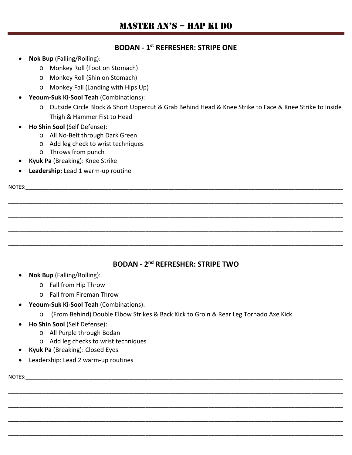#### **BODAN - 1st REFRESHER: STRIPE ONE**

- **Nok Bup** (Falling/Rolling):
	- o Monkey Roll (Foot on Stomach)
	- o Monkey Roll (Shin on Stomach)
	- o Monkey Fall (Landing with Hips Up)
- **Yeoum-Suk Ki-Sool Teah** (Combinations):
	- o Outside Circle Block & Short Uppercut & Grab Behind Head & Knee Strike to Face & Knee Strike to Inside Thigh & Hammer Fist to Head
- **Ho Shin Sool** (Self Defense):
	- o All No-Belt through Dark Green
	- o Add leg check to wrist techniques
	- o Throws from punch
- **Kyuk Pa** (Breaking): Knee Strike
- **Leadership:** Lead 1 warm-up routine

| NOTES: |  |  |  |
|--------|--|--|--|
|        |  |  |  |
|        |  |  |  |
|        |  |  |  |
|        |  |  |  |
|        |  |  |  |
|        |  |  |  |

## **BODAN - 2nd REFRESHER: STRIPE TWO**

- **Nok Bup** (Falling/Rolling):
	- o Fall from Hip Throw
	- o Fall from Fireman Throw
- **Yeoum-Suk Ki-Sool Teah** (Combinations):
	- o (From Behind) Double Elbow Strikes & Back Kick to Groin & Rear Leg Tornado Axe Kick

\_\_\_\_\_\_\_\_\_\_\_\_\_\_\_\_\_\_\_\_\_\_\_\_\_\_\_\_\_\_\_\_\_\_\_\_\_\_\_\_\_\_\_\_\_\_\_\_\_\_\_\_\_\_\_\_\_\_\_\_\_\_\_\_\_\_\_\_\_\_\_\_\_\_\_\_\_\_\_\_\_\_\_\_\_\_\_\_\_\_\_\_\_\_\_\_\_\_\_\_\_\_\_\_\_\_\_\_\_\_\_\_\_\_\_\_\_

\_\_\_\_\_\_\_\_\_\_\_\_\_\_\_\_\_\_\_\_\_\_\_\_\_\_\_\_\_\_\_\_\_\_\_\_\_\_\_\_\_\_\_\_\_\_\_\_\_\_\_\_\_\_\_\_\_\_\_\_\_\_\_\_\_\_\_\_\_\_\_\_\_\_\_\_\_\_\_\_\_\_\_\_\_\_\_\_\_\_\_\_\_\_\_\_\_\_\_\_\_\_\_\_\_\_\_\_\_\_\_\_\_\_\_\_\_

\_\_\_\_\_\_\_\_\_\_\_\_\_\_\_\_\_\_\_\_\_\_\_\_\_\_\_\_\_\_\_\_\_\_\_\_\_\_\_\_\_\_\_\_\_\_\_\_\_\_\_\_\_\_\_\_\_\_\_\_\_\_\_\_\_\_\_\_\_\_\_\_\_\_\_\_\_\_\_\_\_\_\_\_\_\_\_\_\_\_\_\_\_\_\_\_\_\_\_\_\_\_\_\_\_\_\_\_\_\_\_\_\_\_\_\_\_

\_\_\_\_\_\_\_\_\_\_\_\_\_\_\_\_\_\_\_\_\_\_\_\_\_\_\_\_\_\_\_\_\_\_\_\_\_\_\_\_\_\_\_\_\_\_\_\_\_\_\_\_\_\_\_\_\_\_\_\_\_\_\_\_\_\_\_\_\_\_\_\_\_\_\_\_\_\_\_\_\_\_\_\_\_\_\_\_\_\_\_\_\_\_\_\_\_\_\_\_\_\_\_\_\_\_\_\_\_\_\_\_\_\_\_\_\_

- **Ho Shin Sool** (Self Defense):
	- o All Purple through Bodan
	- o Add leg checks to wrist techniques
- **Kyuk Pa** (Breaking): Closed Eyes
- Leadership: Lead 2 warm-up routines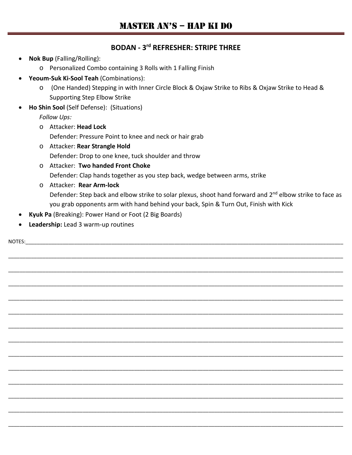#### **BODAN - 3rd REFRESHER: STRIPE THREE**

- **Nok Bup** (Falling/Rolling):
	- o Personalized Combo containing 3 Rolls with 1 Falling Finish
- **Yeoum-Suk Ki-Sool Teah** (Combinations):
	- o (One Handed) Stepping in with Inner Circle Block & Oxjaw Strike to Ribs & Oxjaw Strike to Head & Supporting Step Elbow Strike
- **Ho Shin Sool** (Self Defense): (Situations)

*Follow Ups:*

o Attacker: **Head Lock**

Defender: Pressure Point to knee and neck or hair grab

- o Attacker: **Rear Strangle Hold** Defender: Drop to one knee, tuck shoulder and throw
- o Attacker: **Two handed Front Choke** Defender: Clap hands together as you step back, wedge between arms, strike
- o Attacker: **Rear Arm-lock** Defender: Step back and elbow strike to solar plexus, shoot hand forward and 2<sup>nd</sup> elbow strike to face as you grab opponents arm with hand behind your back, Spin & Turn Out, Finish with Kick
- **Kyuk Pa** (Breaking): Power Hand or Foot (2 Big Boards)
- **Leadership:** Lead 3 warm-up routines

NOTES:\_\_\_\_\_\_\_\_\_\_\_\_\_\_\_\_\_\_\_\_\_\_\_\_\_\_\_\_\_\_\_\_\_\_\_\_\_\_\_\_\_\_\_\_\_\_\_\_\_\_\_\_\_\_\_\_\_\_\_\_\_\_\_\_\_\_\_\_\_\_\_\_\_\_\_\_\_\_\_\_\_\_\_\_\_\_\_\_\_\_\_\_\_\_\_\_\_\_\_\_\_\_\_\_\_\_\_\_\_\_\_ \_\_\_\_\_\_\_\_\_\_\_\_\_\_\_\_\_\_\_\_\_\_\_\_\_\_\_\_\_\_\_\_\_\_\_\_\_\_\_\_\_\_\_\_\_\_\_\_\_\_\_\_\_\_\_\_\_\_\_\_\_\_\_\_\_\_\_\_\_\_\_\_\_\_\_\_\_\_\_\_\_\_\_\_\_\_\_\_\_\_\_\_\_\_\_\_\_\_\_\_\_\_\_\_\_\_\_\_\_\_\_\_\_\_\_\_\_ \_\_\_\_\_\_\_\_\_\_\_\_\_\_\_\_\_\_\_\_\_\_\_\_\_\_\_\_\_\_\_\_\_\_\_\_\_\_\_\_\_\_\_\_\_\_\_\_\_\_\_\_\_\_\_\_\_\_\_\_\_\_\_\_\_\_\_\_\_\_\_\_\_\_\_\_\_\_\_\_\_\_\_\_\_\_\_\_\_\_\_\_\_\_\_\_\_\_\_\_\_\_\_\_\_\_\_\_\_\_\_\_\_\_\_\_\_ \_\_\_\_\_\_\_\_\_\_\_\_\_\_\_\_\_\_\_\_\_\_\_\_\_\_\_\_\_\_\_\_\_\_\_\_\_\_\_\_\_\_\_\_\_\_\_\_\_\_\_\_\_\_\_\_\_\_\_\_\_\_\_\_\_\_\_\_\_\_\_\_\_\_\_\_\_\_\_\_\_\_\_\_\_\_\_\_\_\_\_\_\_\_\_\_\_\_\_\_\_\_\_\_\_\_\_\_\_\_\_\_\_\_\_\_\_ \_\_\_\_\_\_\_\_\_\_\_\_\_\_\_\_\_\_\_\_\_\_\_\_\_\_\_\_\_\_\_\_\_\_\_\_\_\_\_\_\_\_\_\_\_\_\_\_\_\_\_\_\_\_\_\_\_\_\_\_\_\_\_\_\_\_\_\_\_\_\_\_\_\_\_\_\_\_\_\_\_\_\_\_\_\_\_\_\_\_\_\_\_\_\_\_\_\_\_\_\_\_\_\_\_\_\_\_\_\_\_\_\_\_\_\_\_ \_\_\_\_\_\_\_\_\_\_\_\_\_\_\_\_\_\_\_\_\_\_\_\_\_\_\_\_\_\_\_\_\_\_\_\_\_\_\_\_\_\_\_\_\_\_\_\_\_\_\_\_\_\_\_\_\_\_\_\_\_\_\_\_\_\_\_\_\_\_\_\_\_\_\_\_\_\_\_\_\_\_\_\_\_\_\_\_\_\_\_\_\_\_\_\_\_\_\_\_\_\_\_\_\_\_\_\_\_\_\_\_\_\_\_\_\_ \_\_\_\_\_\_\_\_\_\_\_\_\_\_\_\_\_\_\_\_\_\_\_\_\_\_\_\_\_\_\_\_\_\_\_\_\_\_\_\_\_\_\_\_\_\_\_\_\_\_\_\_\_\_\_\_\_\_\_\_\_\_\_\_\_\_\_\_\_\_\_\_\_\_\_\_\_\_\_\_\_\_\_\_\_\_\_\_\_\_\_\_\_\_\_\_\_\_\_\_\_\_\_\_\_\_\_\_\_\_\_\_\_\_\_\_\_ \_\_\_\_\_\_\_\_\_\_\_\_\_\_\_\_\_\_\_\_\_\_\_\_\_\_\_\_\_\_\_\_\_\_\_\_\_\_\_\_\_\_\_\_\_\_\_\_\_\_\_\_\_\_\_\_\_\_\_\_\_\_\_\_\_\_\_\_\_\_\_\_\_\_\_\_\_\_\_\_\_\_\_\_\_\_\_\_\_\_\_\_\_\_\_\_\_\_\_\_\_\_\_\_\_\_\_\_\_\_\_\_\_\_\_\_\_ \_\_\_\_\_\_\_\_\_\_\_\_\_\_\_\_\_\_\_\_\_\_\_\_\_\_\_\_\_\_\_\_\_\_\_\_\_\_\_\_\_\_\_\_\_\_\_\_\_\_\_\_\_\_\_\_\_\_\_\_\_\_\_\_\_\_\_\_\_\_\_\_\_\_\_\_\_\_\_\_\_\_\_\_\_\_\_\_\_\_\_\_\_\_\_\_\_\_\_\_\_\_\_\_\_\_\_\_\_\_\_\_\_\_\_\_\_ \_\_\_\_\_\_\_\_\_\_\_\_\_\_\_\_\_\_\_\_\_\_\_\_\_\_\_\_\_\_\_\_\_\_\_\_\_\_\_\_\_\_\_\_\_\_\_\_\_\_\_\_\_\_\_\_\_\_\_\_\_\_\_\_\_\_\_\_\_\_\_\_\_\_\_\_\_\_\_\_\_\_\_\_\_\_\_\_\_\_\_\_\_\_\_\_\_\_\_\_\_\_\_\_\_\_\_\_\_\_\_\_\_\_\_\_\_ \_\_\_\_\_\_\_\_\_\_\_\_\_\_\_\_\_\_\_\_\_\_\_\_\_\_\_\_\_\_\_\_\_\_\_\_\_\_\_\_\_\_\_\_\_\_\_\_\_\_\_\_\_\_\_\_\_\_\_\_\_\_\_\_\_\_\_\_\_\_\_\_\_\_\_\_\_\_\_\_\_\_\_\_\_\_\_\_\_\_\_\_\_\_\_\_\_\_\_\_\_\_\_\_\_\_\_\_\_\_\_\_\_\_\_\_\_ \_\_\_\_\_\_\_\_\_\_\_\_\_\_\_\_\_\_\_\_\_\_\_\_\_\_\_\_\_\_\_\_\_\_\_\_\_\_\_\_\_\_\_\_\_\_\_\_\_\_\_\_\_\_\_\_\_\_\_\_\_\_\_\_\_\_\_\_\_\_\_\_\_\_\_\_\_\_\_\_\_\_\_\_\_\_\_\_\_\_\_\_\_\_\_\_\_\_\_\_\_\_\_\_\_\_\_\_\_\_\_\_\_\_\_\_\_ \_\_\_\_\_\_\_\_\_\_\_\_\_\_\_\_\_\_\_\_\_\_\_\_\_\_\_\_\_\_\_\_\_\_\_\_\_\_\_\_\_\_\_\_\_\_\_\_\_\_\_\_\_\_\_\_\_\_\_\_\_\_\_\_\_\_\_\_\_\_\_\_\_\_\_\_\_\_\_\_\_\_\_\_\_\_\_\_\_\_\_\_\_\_\_\_\_\_\_\_\_\_\_\_\_\_\_\_\_\_\_\_\_\_\_\_\_ \_\_\_\_\_\_\_\_\_\_\_\_\_\_\_\_\_\_\_\_\_\_\_\_\_\_\_\_\_\_\_\_\_\_\_\_\_\_\_\_\_\_\_\_\_\_\_\_\_\_\_\_\_\_\_\_\_\_\_\_\_\_\_\_\_\_\_\_\_\_\_\_\_\_\_\_\_\_\_\_\_\_\_\_\_\_\_\_\_\_\_\_\_\_\_\_\_\_\_\_\_\_\_\_\_\_\_\_\_\_\_\_\_\_\_\_\_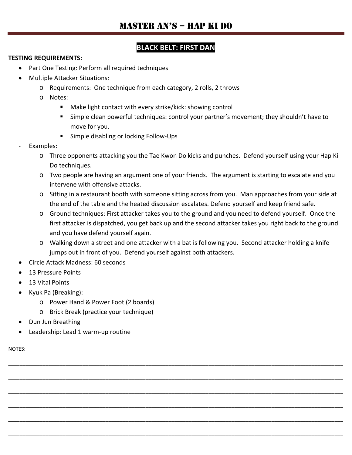# **BLACK BELT: FIRST DAN**

#### **TESTING REQUIREMENTS:**

- Part One Testing: Perform all required techniques
- Multiple Attacker Situations:
	- o Requirements: One technique from each category, 2 rolls, 2 throws
	- o Notes:
		- Make light contact with every strike/kick: showing control
		- Simple clean powerful techniques: control your partner's movement; they shouldn't have to move for you.
		- **Simple disabling or locking Follow-Ups**
- Examples:
	- o Three opponents attacking you the Tae Kwon Do kicks and punches. Defend yourself using your Hap Ki Do techniques.
	- o Two people are having an argument one of your friends. The argument is starting to escalate and you intervene with offensive attacks.
	- o Sitting in a restaurant booth with someone sitting across from you. Man approaches from your side at the end of the table and the heated discussion escalates. Defend yourself and keep friend safe.
	- o Ground techniques: First attacker takes you to the ground and you need to defend yourself. Once the first attacker is dispatched, you get back up and the second attacker takes you right back to the ground and you have defend yourself again.
	- o Walking down a street and one attacker with a bat is following you. Second attacker holding a knife jumps out in front of you. Defend yourself against both attackers.

\_\_\_\_\_\_\_\_\_\_\_\_\_\_\_\_\_\_\_\_\_\_\_\_\_\_\_\_\_\_\_\_\_\_\_\_\_\_\_\_\_\_\_\_\_\_\_\_\_\_\_\_\_\_\_\_\_\_\_\_\_\_\_\_\_\_\_\_\_\_\_\_\_\_\_\_\_\_\_\_\_\_\_\_\_\_\_\_\_\_\_\_\_\_\_\_\_\_\_\_\_\_\_\_\_\_\_\_\_\_\_\_\_\_\_\_\_

\_\_\_\_\_\_\_\_\_\_\_\_\_\_\_\_\_\_\_\_\_\_\_\_\_\_\_\_\_\_\_\_\_\_\_\_\_\_\_\_\_\_\_\_\_\_\_\_\_\_\_\_\_\_\_\_\_\_\_\_\_\_\_\_\_\_\_\_\_\_\_\_\_\_\_\_\_\_\_\_\_\_\_\_\_\_\_\_\_\_\_\_\_\_\_\_\_\_\_\_\_\_\_\_\_\_\_\_\_\_\_\_\_\_\_\_\_

\_\_\_\_\_\_\_\_\_\_\_\_\_\_\_\_\_\_\_\_\_\_\_\_\_\_\_\_\_\_\_\_\_\_\_\_\_\_\_\_\_\_\_\_\_\_\_\_\_\_\_\_\_\_\_\_\_\_\_\_\_\_\_\_\_\_\_\_\_\_\_\_\_\_\_\_\_\_\_\_\_\_\_\_\_\_\_\_\_\_\_\_\_\_\_\_\_\_\_\_\_\_\_\_\_\_\_\_\_\_\_\_\_\_\_\_\_

\_\_\_\_\_\_\_\_\_\_\_\_\_\_\_\_\_\_\_\_\_\_\_\_\_\_\_\_\_\_\_\_\_\_\_\_\_\_\_\_\_\_\_\_\_\_\_\_\_\_\_\_\_\_\_\_\_\_\_\_\_\_\_\_\_\_\_\_\_\_\_\_\_\_\_\_\_\_\_\_\_\_\_\_\_\_\_\_\_\_\_\_\_\_\_\_\_\_\_\_\_\_\_\_\_\_\_\_\_\_\_\_\_\_\_\_\_

\_\_\_\_\_\_\_\_\_\_\_\_\_\_\_\_\_\_\_\_\_\_\_\_\_\_\_\_\_\_\_\_\_\_\_\_\_\_\_\_\_\_\_\_\_\_\_\_\_\_\_\_\_\_\_\_\_\_\_\_\_\_\_\_\_\_\_\_\_\_\_\_\_\_\_\_\_\_\_\_\_\_\_\_\_\_\_\_\_\_\_\_\_\_\_\_\_\_\_\_\_\_\_\_\_\_\_\_\_\_\_\_\_\_\_\_\_

\_\_\_\_\_\_\_\_\_\_\_\_\_\_\_\_\_\_\_\_\_\_\_\_\_\_\_\_\_\_\_\_\_\_\_\_\_\_\_\_\_\_\_\_\_\_\_\_\_\_\_\_\_\_\_\_\_\_\_\_\_\_\_\_\_\_\_\_\_\_\_\_\_\_\_\_\_\_\_\_\_\_\_\_\_\_\_\_\_\_\_\_\_\_\_\_\_\_\_\_\_\_\_\_\_\_\_\_\_\_\_\_\_\_\_\_\_

- Circle Attack Madness: 60 seconds
- 13 Pressure Points
- 13 Vital Points
- Kyuk Pa (Breaking):
	- o Power Hand & Power Foot (2 boards)
	- o Brick Break (practice your technique)
- Dun Jun Breathing
- Leadership: Lead 1 warm-up routine

NOTES: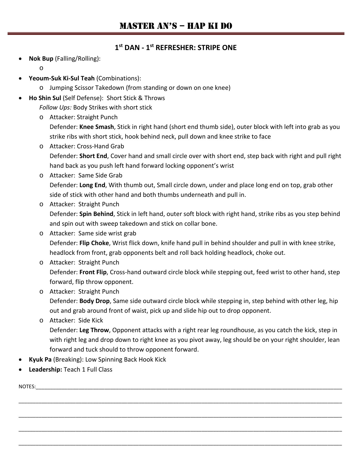#### **1st DAN - 1st REFRESHER: STRIPE ONE**

• **Nok Bup** (Falling/Rolling):

o

- **Yeoum-Suk Ki-Sul Teah** (Combinations):
	- o Jumping Scissor Takedown (from standing or down on one knee)
- **Ho Shin Sul** (Self Defense): Short Stick & Throws

*Follow Ups:* Body Strikes with short stick

o Attacker: Straight Punch

Defender: **Knee Smash**, Stick in right hand (short end thumb side), outer block with left into grab as you strike ribs with short stick, hook behind neck, pull down and knee strike to face

- o Attacker: Cross-Hand Grab Defender: **Short End**, Cover hand and small circle over with short end, step back with right and pull right hand back as you push left hand forward locking opponent's wrist
- o Attacker: Same Side Grab Defender: **Long End**, With thumb out, Small circle down, under and place long end on top, grab other side of stick with other hand and both thumbs underneath and pull in.
- o Attacker: Straight Punch Defender: **Spin Behind**, Stick in left hand, outer soft block with right hand, strike ribs as you step behind and spin out with sweep takedown and stick on collar bone.
- o Attacker: Same side wrist grab Defender: **Flip Choke**, Wrist flick down, knife hand pull in behind shoulder and pull in with knee strike, headlock from front, grab opponents belt and roll back holding headlock, choke out.
- o Attacker: Straight Punch Defender: **Front Flip**, Cross-hand outward circle block while stepping out, feed wrist to other hand, step forward, flip throw opponent.
- o Attacker: Straight Punch Defender: **Body Drop**, Same side outward circle block while stepping in, step behind with other leg, hip out and grab around front of waist, pick up and slide hip out to drop opponent.
- o Attacker: Side Kick

Defender: **Leg Throw**, Opponent attacks with a right rear leg roundhouse, as you catch the kick, step in with right leg and drop down to right knee as you pivot away, leg should be on your right shoulder, lean forward and tuck should to throw opponent forward.

\_\_\_\_\_\_\_\_\_\_\_\_\_\_\_\_\_\_\_\_\_\_\_\_\_\_\_\_\_\_\_\_\_\_\_\_\_\_\_\_\_\_\_\_\_\_\_\_\_\_\_\_\_\_\_\_\_\_\_\_\_\_\_\_\_\_\_\_\_\_\_\_\_\_\_\_\_\_\_\_\_\_\_\_\_\_\_\_\_\_\_\_\_\_\_\_\_\_\_\_\_\_\_\_\_\_\_\_\_\_\_\_\_

\_\_\_\_\_\_\_\_\_\_\_\_\_\_\_\_\_\_\_\_\_\_\_\_\_\_\_\_\_\_\_\_\_\_\_\_\_\_\_\_\_\_\_\_\_\_\_\_\_\_\_\_\_\_\_\_\_\_\_\_\_\_\_\_\_\_\_\_\_\_\_\_\_\_\_\_\_\_\_\_\_\_\_\_\_\_\_\_\_\_\_\_\_\_\_\_\_\_\_\_\_\_\_\_\_\_\_\_\_\_\_\_\_

\_\_\_\_\_\_\_\_\_\_\_\_\_\_\_\_\_\_\_\_\_\_\_\_\_\_\_\_\_\_\_\_\_\_\_\_\_\_\_\_\_\_\_\_\_\_\_\_\_\_\_\_\_\_\_\_\_\_\_\_\_\_\_\_\_\_\_\_\_\_\_\_\_\_\_\_\_\_\_\_\_\_\_\_\_\_\_\_\_\_\_\_\_\_\_\_\_\_\_\_\_\_\_\_\_\_\_\_\_\_\_\_\_

\_\_\_\_\_\_\_\_\_\_\_\_\_\_\_\_\_\_\_\_\_\_\_\_\_\_\_\_\_\_\_\_\_\_\_\_\_\_\_\_\_\_\_\_\_\_\_\_\_\_\_\_\_\_\_\_\_\_\_\_\_\_\_\_\_\_\_\_\_\_\_\_\_\_\_\_\_\_\_\_\_\_\_\_\_\_\_\_\_\_\_\_\_\_\_\_\_\_\_\_\_\_\_\_\_\_\_\_\_\_\_\_\_

- **Kyuk Pa** (Breaking): Low Spinning Back Hook Kick
- **Leadership:** Teach 1 Full Class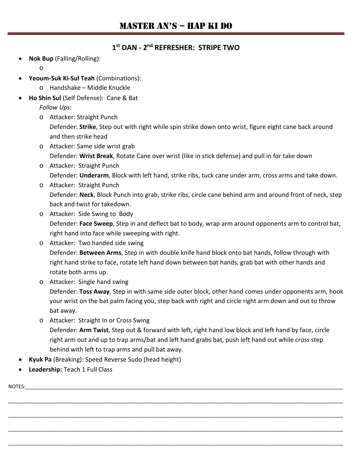#### **1st DAN - 2nd REFRESHER: STRIPE TWO**

• **Nok Bup** (Falling/Rolling):

o

- **Yeoum-Suk Ki-Sul Teah** (Combinations):
	- o Handshake Middle Knuckle
- **Ho Shin Sul** (Self Defense): Cane & Bat

*Follow Ups:*

o Attacker: Straight Punch

Defender: **Strike**, Step out with right while spin strike down onto wrist, figure eight cane back around and then strike head

- o Attacker: Same side wrist grab Defender: **Wrist Break**, Rotate Cane over wrist (like in stick defense) and pull in for take down
- o Attacker: Straight Punch Defender: **Underarm**, Block with left hand, strike ribs, tuck cane under arm, cross arms and take down.
- o Attacker: Straight Punch Defender: **Neck**, Block Punch into grab, strike ribs, circle cane behind arm and around front of neck, step back and twist for takedown.
- o Attacker: Side Swing to Body Defender: **Face Sweep**, Step in and deflect bat to body, wrap arm around opponents arm to control bat, right hand into face while sweeping with right.
- o Attacker: Two handed side swing Defender: **Between Arms**, Step in with double knife hand block onto bat hands, follow through with right hand strike to face, rotate left hand down between bat hands, grab bat with other hands and rotate both arms up.
- o Attacker: Single hand swing

Defender: **Toss Away**, Step in with same side outer block, other hand comes under opponents arm, hook your wrist on the bat palm facing you, step back with right and circle right arm down and out to throw bat away.

o Attacker: Straight In or Cross Swing Defender: **Arm Twist**, Step out & forward with left, right hand low block and left hand by face, circle right arm out and up to trap arms/bat and left hand grabs bat, push left hand out while cross step behind with left to trap arms and pull bat away.

\_\_\_\_\_\_\_\_\_\_\_\_\_\_\_\_\_\_\_\_\_\_\_\_\_\_\_\_\_\_\_\_\_\_\_\_\_\_\_\_\_\_\_\_\_\_\_\_\_\_\_\_\_\_\_\_\_\_\_\_\_\_\_\_\_\_\_\_\_\_\_\_\_\_\_\_\_\_\_\_\_\_\_\_\_\_\_\_\_\_\_\_\_\_\_\_\_\_\_\_\_\_\_\_\_\_\_\_\_\_\_\_\_\_\_\_\_

\_\_\_\_\_\_\_\_\_\_\_\_\_\_\_\_\_\_\_\_\_\_\_\_\_\_\_\_\_\_\_\_\_\_\_\_\_\_\_\_\_\_\_\_\_\_\_\_\_\_\_\_\_\_\_\_\_\_\_\_\_\_\_\_\_\_\_\_\_\_\_\_\_\_\_\_\_\_\_\_\_\_\_\_\_\_\_\_\_\_\_\_\_\_\_\_\_\_\_\_\_\_\_\_\_\_\_\_\_\_\_\_\_\_\_\_\_

\_\_\_\_\_\_\_\_\_\_\_\_\_\_\_\_\_\_\_\_\_\_\_\_\_\_\_\_\_\_\_\_\_\_\_\_\_\_\_\_\_\_\_\_\_\_\_\_\_\_\_\_\_\_\_\_\_\_\_\_\_\_\_\_\_\_\_\_\_\_\_\_\_\_\_\_\_\_\_\_\_\_\_\_\_\_\_\_\_\_\_\_\_\_\_\_\_\_\_\_\_\_\_\_\_\_\_\_\_\_\_\_\_\_\_\_\_

\_\_\_\_\_\_\_\_\_\_\_\_\_\_\_\_\_\_\_\_\_\_\_\_\_\_\_\_\_\_\_\_\_\_\_\_\_\_\_\_\_\_\_\_\_\_\_\_\_\_\_\_\_\_\_\_\_\_\_\_\_\_\_\_\_\_\_\_\_\_\_\_\_\_\_\_\_\_\_\_\_\_\_\_\_\_\_\_\_\_\_\_\_\_\_\_\_\_\_\_\_\_\_\_\_\_\_\_\_\_\_\_\_\_\_\_\_

- **Kyuk Pa** (Breaking): Speed Reverse Sudo (head height)
- **Leadership:** Teach 1 Full Class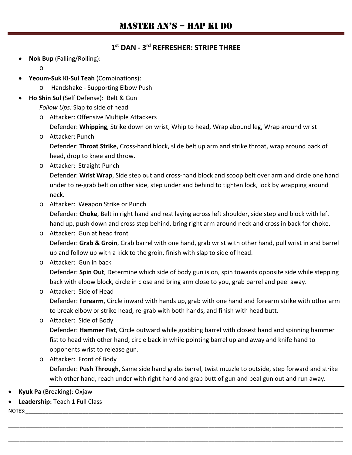#### **1st DAN - 3rd REFRESHER: STRIPE THREE**

• **Nok Bup** (Falling/Rolling):

o

- **Yeoum-Suk Ki-Sul Teah** (Combinations):
	- o Handshake Supporting Elbow Push
- **Ho Shin Sul** (Self Defense): Belt & Gun

*Follow Ups:* Slap to side of head

o Attacker: Offensive Multiple Attackers

Defender: **Whipping**, Strike down on wrist, Whip to head, Wrap abound leg, Wrap around wrist

o Attacker: Punch

Defender: **Throat Strike**, Cross-hand block, slide belt up arm and strike throat, wrap around back of head, drop to knee and throw.

o Attacker: Straight Punch

Defender: **Wrist Wrap**, Side step out and cross-hand block and scoop belt over arm and circle one hand under to re-grab belt on other side, step under and behind to tighten lock, lock by wrapping around neck.

- o Attacker: Weapon Strike or Punch Defender: **Choke**, Belt in right hand and rest laying across left shoulder, side step and block with left hand up, push down and cross step behind, bring right arm around neck and cross in back for choke.
- o Attacker: Gun at head front Defender: **Grab & Groin**, Grab barrel with one hand, grab wrist with other hand, pull wrist in and barrel up and follow up with a kick to the groin, finish with slap to side of head.
- o Attacker: Gun in back

Defender: **Spin Out**, Determine which side of body gun is on, spin towards opposite side while stepping back with elbow block, circle in close and bring arm close to you, grab barrel and peel away.

#### o Attacker: Side of Head

Defender: **Forearm**, Circle inward with hands up, grab with one hand and forearm strike with other arm to break elbow or strike head, re-grab with both hands, and finish with head butt.

o Attacker: Side of Body

Defender: **Hammer Fist**, Circle outward while grabbing barrel with closest hand and spinning hammer fist to head with other hand, circle back in while pointing barrel up and away and knife hand to opponents wrist to release gun.

o Attacker: Front of Body Defender: **Push Through**, Same side hand grabs barrel, twist muzzle to outside, step forward and strike with other hand, reach under with right hand and grab butt of gun and peal gun out and run away.

\_\_\_\_\_\_\_\_\_\_\_\_\_\_\_\_\_\_\_\_\_\_\_\_\_\_\_\_\_\_\_\_\_\_\_\_\_\_\_\_\_\_\_\_\_\_\_\_\_\_\_\_\_\_\_\_\_\_\_\_\_\_\_\_\_\_\_\_\_\_\_\_\_\_\_\_\_\_\_\_\_\_\_\_\_\_\_\_\_\_\_\_\_\_\_\_\_\_\_\_\_\_\_\_\_\_\_\_\_\_\_\_\_\_\_\_\_

\_\_\_\_\_\_\_\_\_\_\_\_\_\_\_\_\_\_\_\_\_\_\_\_\_\_\_\_\_\_\_\_\_\_\_\_\_\_\_\_\_\_\_\_\_\_\_\_\_\_\_\_\_\_\_\_\_\_\_\_\_\_\_\_\_\_\_\_\_\_\_\_\_\_\_\_\_\_\_\_\_\_\_\_\_\_\_\_\_\_\_\_\_\_\_\_\_\_\_\_\_\_\_\_\_\_\_\_\_\_\_\_\_\_\_\_\_

- **Kyuk Pa** (Breaking): Oxjaw
- **Leadership:** Teach 1 Full Class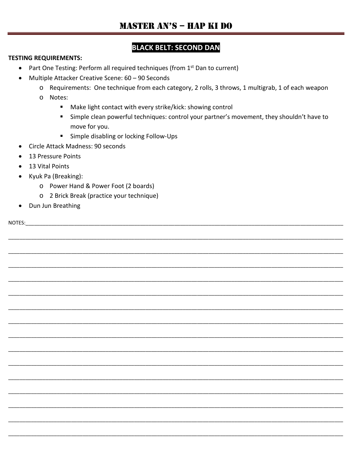# **BLACK BELT: SECOND DAN**

#### **TESTING REQUIREMENTS:**

- Part One Testing: Perform all required techniques (from 1<sup>st</sup> Dan to current)
- Multiple Attacker Creative Scene: 60 90 Seconds  $\bullet$ 
	- o Requirements: One technique from each category, 2 rolls, 3 throws, 1 multigrab, 1 of each weapon
	- o Notes:
		- Make light contact with every strike/kick: showing control
		- " Simple clean powerful techniques: control your partner's movement, they shouldn't have to move for you.
		- $\mathbf{u}$ Simple disabling or locking Follow-Ups
- Circle Attack Madness: 90 seconds
- 13 Pressure Points  $\bullet$
- 13 Vital Points  $\bullet$
- Kyuk Pa (Breaking):
	- o Power Hand & Power Foot (2 boards)
	- o 2 Brick Break (practice your technique)
- Dun Jun Breathing

NOTES: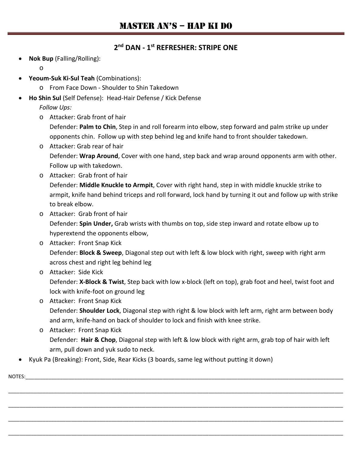#### **2nd DAN - 1st REFRESHER: STRIPE ONE**

• **Nok Bup** (Falling/Rolling):

o

- **Yeoum-Suk Ki-Sul Teah** (Combinations):
	- o From Face Down Shoulder to Shin Takedown
- **Ho Shin Sul** (Self Defense): Head-Hair Defense / Kick Defense

*Follow Ups:*

o Attacker: Grab front of hair

Defender: **Palm to Chin**, Step in and roll forearm into elbow, step forward and palm strike up under opponents chin. Follow up with step behind leg and knife hand to front shoulder takedown.

- o Attacker: Grab rear of hair Defender: **Wrap Around**, Cover with one hand, step back and wrap around opponents arm with other. Follow up with takedown.
- o Attacker: Grab front of hair Defender: **Middle Knuckle to Armpit**, Cover with right hand, step in with middle knuckle strike to armpit, knife hand behind triceps and roll forward, lock hand by turning it out and follow up with strike to break elbow.
- o Attacker: Grab front of hair Defender: **Spin Under,** Grab wrists with thumbs on top, side step inward and rotate elbow up to hyperextend the opponents elbow,
- o Attacker: Front Snap Kick Defender: **Block & Sweep**, Diagonal step out with left & low block with right, sweep with right arm across chest and right leg behind leg
- o Attacker: Side Kick Defender: **X-Block & Twist**, Step back with low x-block (left on top), grab foot and heel, twist foot and lock with knife-foot on ground leg
- o Attacker: Front Snap Kick Defender: **Shoulder Lock**, Diagonal step with right & low block with left arm, right arm between body and arm, knife-hand on back of shoulder to lock and finish with knee strike.
- o Attacker: Front Snap Kick Defender: **Hair & Chop**, Diagonal step with left & low block with right arm, grab top of hair with left arm, pull down and yuk sudo to neck.

\_\_\_\_\_\_\_\_\_\_\_\_\_\_\_\_\_\_\_\_\_\_\_\_\_\_\_\_\_\_\_\_\_\_\_\_\_\_\_\_\_\_\_\_\_\_\_\_\_\_\_\_\_\_\_\_\_\_\_\_\_\_\_\_\_\_\_\_\_\_\_\_\_\_\_\_\_\_\_\_\_\_\_\_\_\_\_\_\_\_\_\_\_\_\_\_\_\_\_\_\_\_\_\_\_\_\_\_\_\_\_\_\_\_\_\_\_

\_\_\_\_\_\_\_\_\_\_\_\_\_\_\_\_\_\_\_\_\_\_\_\_\_\_\_\_\_\_\_\_\_\_\_\_\_\_\_\_\_\_\_\_\_\_\_\_\_\_\_\_\_\_\_\_\_\_\_\_\_\_\_\_\_\_\_\_\_\_\_\_\_\_\_\_\_\_\_\_\_\_\_\_\_\_\_\_\_\_\_\_\_\_\_\_\_\_\_\_\_\_\_\_\_\_\_\_\_\_\_\_\_\_\_\_\_

\_\_\_\_\_\_\_\_\_\_\_\_\_\_\_\_\_\_\_\_\_\_\_\_\_\_\_\_\_\_\_\_\_\_\_\_\_\_\_\_\_\_\_\_\_\_\_\_\_\_\_\_\_\_\_\_\_\_\_\_\_\_\_\_\_\_\_\_\_\_\_\_\_\_\_\_\_\_\_\_\_\_\_\_\_\_\_\_\_\_\_\_\_\_\_\_\_\_\_\_\_\_\_\_\_\_\_\_\_\_\_\_\_\_\_\_\_

\_\_\_\_\_\_\_\_\_\_\_\_\_\_\_\_\_\_\_\_\_\_\_\_\_\_\_\_\_\_\_\_\_\_\_\_\_\_\_\_\_\_\_\_\_\_\_\_\_\_\_\_\_\_\_\_\_\_\_\_\_\_\_\_\_\_\_\_\_\_\_\_\_\_\_\_\_\_\_\_\_\_\_\_\_\_\_\_\_\_\_\_\_\_\_\_\_\_\_\_\_\_\_\_\_\_\_\_\_\_\_\_\_\_\_\_\_

• Kyuk Pa (Breaking): Front, Side, Rear Kicks (3 boards, same leg without putting it down)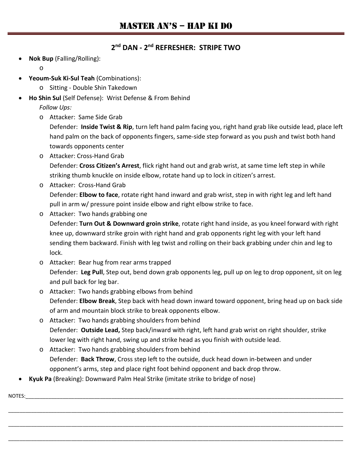#### **2nd DAN - 2nd REFRESHER: STRIPE TWO**

• **Nok Bup** (Falling/Rolling):

o

- **Yeoum-Suk Ki-Sul Teah** (Combinations):
	- o Sitting Double Shin Takedown
- **Ho Shin Sul** (Self Defense): Wrist Defense & From Behind

*Follow Ups:*

o Attacker: Same Side Grab

Defender: **Inside Twist & Rip**, turn left hand palm facing you, right hand grab like outside lead, place left hand palm on the back of opponents fingers, same-side step forward as you push and twist both hand towards opponents center

- o Attacker: Cross-Hand Grab Defender: **Cross Citizen's Arrest**, flick right hand out and grab wrist, at same time left step in while striking thumb knuckle on inside elbow, rotate hand up to lock in citizen's arrest.
- o Attacker: Cross-Hand Grab Defender: **Elbow to face**, rotate right hand inward and grab wrist, step in with right leg and left hand pull in arm w/ pressure point inside elbow and right elbow strike to face.
- o Attacker: Two hands grabbing one Defender: **Turn Out & Downward groin strike**, rotate right hand inside, as you kneel forward with right knee up, downward strike groin with right hand and grab opponents right leg with your left hand sending them backward. Finish with leg twist and rolling on their back grabbing under chin and leg to lock.
- o Attacker: Bear hug from rear arms trapped Defender: **Leg Pull**, Step out, bend down grab opponents leg, pull up on leg to drop opponent, sit on leg and pull back for leg bar.
- o Attacker: Two hands grabbing elbows from behind Defender: **Elbow Break**, Step back with head down inward toward opponent, bring head up on back side of arm and mountain block strike to break opponents elbow.
- o Attacker: Two hands grabbing shoulders from behind Defender: **Outside Lead,** Step back/inward with right, left hand grab wrist on right shoulder, strike lower leg with right hand, swing up and strike head as you finish with outside lead.
- o Attacker: Two hands grabbing shoulders from behind Defender: **Back Throw**, Cross step left to the outside, duck head down in-between and under opponent's arms, step and place right foot behind opponent and back drop throw.

\_\_\_\_\_\_\_\_\_\_\_\_\_\_\_\_\_\_\_\_\_\_\_\_\_\_\_\_\_\_\_\_\_\_\_\_\_\_\_\_\_\_\_\_\_\_\_\_\_\_\_\_\_\_\_\_\_\_\_\_\_\_\_\_\_\_\_\_\_\_\_\_\_\_\_\_\_\_\_\_\_\_\_\_\_\_\_\_\_\_\_\_\_\_\_\_\_\_\_\_\_\_\_\_\_\_\_\_\_\_\_\_\_\_\_\_\_

\_\_\_\_\_\_\_\_\_\_\_\_\_\_\_\_\_\_\_\_\_\_\_\_\_\_\_\_\_\_\_\_\_\_\_\_\_\_\_\_\_\_\_\_\_\_\_\_\_\_\_\_\_\_\_\_\_\_\_\_\_\_\_\_\_\_\_\_\_\_\_\_\_\_\_\_\_\_\_\_\_\_\_\_\_\_\_\_\_\_\_\_\_\_\_\_\_\_\_\_\_\_\_\_\_\_\_\_\_\_\_\_\_\_\_\_\_

\_\_\_\_\_\_\_\_\_\_\_\_\_\_\_\_\_\_\_\_\_\_\_\_\_\_\_\_\_\_\_\_\_\_\_\_\_\_\_\_\_\_\_\_\_\_\_\_\_\_\_\_\_\_\_\_\_\_\_\_\_\_\_\_\_\_\_\_\_\_\_\_\_\_\_\_\_\_\_\_\_\_\_\_\_\_\_\_\_\_\_\_\_\_\_\_\_\_\_\_\_\_\_\_\_\_\_\_\_\_\_\_\_\_\_\_\_

• **Kyuk Pa** (Breaking): Downward Palm Heal Strike (imitate strike to bridge of nose)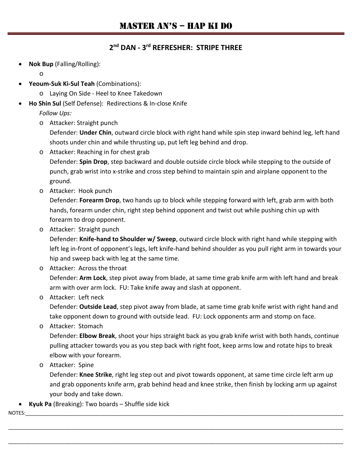#### **2nd DAN - 3rd REFRESHER: STRIPE THREE**

• **Nok Bup** (Falling/Rolling):

o

- **Yeoum-Suk Ki-Sul Teah** (Combinations):
	- o Laying On Side Heel to Knee Takedown
- **Ho Shin Sul** (Self Defense): Redirections & In-close Knife

*Follow Ups:*

o Attacker: Straight punch

Defender: **Under Chin**, outward circle block with right hand while spin step inward behind leg, left hand shoots under chin and while thrusting up, put left leg behind and drop.

- o Attacker: Reaching in for chest grab Defender: **Spin Drop**, step backward and double outside circle block while stepping to the outside of punch, grab wrist into x-strike and cross step behind to maintain spin and airplane opponent to the ground.
- o Attacker: Hook punch

Defender: **Forearm Drop**, two hands up to block while stepping forward with left, grab arm with both hands, forearm under chin, right step behind opponent and twist out while pushing chin up with forearm to drop opponent.

o Attacker: Straight punch

Defender: **Knife-hand to Shoulder w/ Sweep**, outward circle block with right hand while stepping with left leg in-front of opponent's legs, left knife-hand behind shoulder as you pull right arm in towards your hip and sweep back with leg at the same time.

- o Attacker: Across the throat Defender: **Arm Lock**, step pivot away from blade, at same time grab knife arm with left hand and break arm with over arm lock. FU: Take knife away and slash at opponent.
- o Attacker: Left neck

Defender: **Outside Lead**, step pivot away from blade, at same time grab knife wrist with right hand and take opponent down to ground with outside lead. FU: Lock opponents arm and stomp on face.

o Attacker: Stomach

Defender: **Elbow Break**, shoot your hips straight back as you grab knife wrist with both hands, continue pulling attacker towards you as you step back with right foot, keep arms low and rotate hips to break elbow with your forearm.

o Attacker: Spine

Defender: **Knee Strike**, right leg step out and pivot towards opponent, at same time circle left arm up and grab opponents knife arm, grab behind head and knee strike, then finish by locking arm up against your body and take down.

\_\_\_\_\_\_\_\_\_\_\_\_\_\_\_\_\_\_\_\_\_\_\_\_\_\_\_\_\_\_\_\_\_\_\_\_\_\_\_\_\_\_\_\_\_\_\_\_\_\_\_\_\_\_\_\_\_\_\_\_\_\_\_\_\_\_\_\_\_\_\_\_\_\_\_\_\_\_\_\_\_\_\_\_\_\_\_\_\_\_\_\_\_\_\_\_\_\_\_\_\_\_\_\_\_\_\_\_\_\_\_\_\_\_\_\_\_

\_\_\_\_\_\_\_\_\_\_\_\_\_\_\_\_\_\_\_\_\_\_\_\_\_\_\_\_\_\_\_\_\_\_\_\_\_\_\_\_\_\_\_\_\_\_\_\_\_\_\_\_\_\_\_\_\_\_\_\_\_\_\_\_\_\_\_\_\_\_\_\_\_\_\_\_\_\_\_\_\_\_\_\_\_\_\_\_\_\_\_\_\_\_\_\_\_\_\_\_\_\_\_\_\_\_\_\_\_\_\_\_\_\_\_\_\_

• **Kyuk Pa** (Breaking): Two boards – Shuffle side kick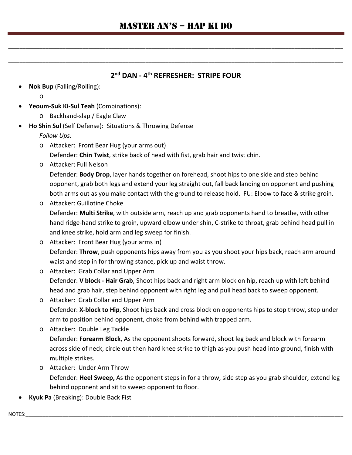\_\_\_\_\_\_\_\_\_\_\_\_\_\_\_\_\_\_\_\_\_\_\_\_\_\_\_\_\_\_\_\_\_\_\_\_\_\_\_\_\_\_\_\_\_\_\_\_\_\_\_\_\_\_\_\_\_\_\_\_\_\_\_\_\_\_\_\_\_\_\_\_\_\_\_\_\_\_\_\_\_\_\_\_\_\_\_\_\_\_\_\_\_\_\_\_\_\_\_\_\_\_\_\_\_\_\_\_\_\_\_\_\_\_\_\_\_

\_\_\_\_\_\_\_\_\_\_\_\_\_\_\_\_\_\_\_\_\_\_\_\_\_\_\_\_\_\_\_\_\_\_\_\_\_\_\_\_\_\_\_\_\_\_\_\_\_\_\_\_\_\_\_\_\_\_\_\_\_\_\_\_\_\_\_\_\_\_\_\_\_\_\_\_\_\_\_\_\_\_\_\_\_\_\_\_\_\_\_\_\_\_\_\_\_\_\_\_\_\_\_\_\_\_\_\_\_\_\_\_\_\_\_\_\_

#### **2nd DAN - 4th REFRESHER: STRIPE FOUR**

• **Nok Bup** (Falling/Rolling):

o

- **Yeoum-Suk Ki-Sul Teah** (Combinations):
	- o Backhand-slap / Eagle Claw
- **Ho Shin Sul** (Self Defense): Situations & Throwing Defense

*Follow Ups:*

o Attacker: Front Bear Hug (your arms out)

Defender: **Chin Twist**, strike back of head with fist, grab hair and twist chin.

o Attacker: Full Nelson

Defender: **Body Drop**, layer hands together on forehead, shoot hips to one side and step behind opponent, grab both legs and extend your leg straight out, fall back landing on opponent and pushing both arms out as you make contact with the ground to release hold. FU: Elbow to face & strike groin.

- o Attacker: Guillotine Choke Defender: **Multi Strike**, with outside arm, reach up and grab opponents hand to breathe, with other hand ridge-hand strike to groin, upward elbow under shin, C-strike to throat, grab behind head pull in and knee strike, hold arm and leg sweep for finish.
- o Attacker: Front Bear Hug (your arms in) Defender: **Throw**, push opponents hips away from you as you shoot your hips back, reach arm around waist and step in for throwing stance, pick up and waist throw.
- o Attacker: Grab Collar and Upper Arm Defender: **V block - Hair Grab**, Shoot hips back and right arm block on hip, reach up with left behind head and grab hair, step behind opponent with right leg and pull head back to sweep opponent.
- o Attacker: Grab Collar and Upper Arm Defender: **X-block to Hip**, Shoot hips back and cross block on opponents hips to stop throw, step under arm to position behind opponent, choke from behind with trapped arm.
- o Attacker: Double Leg Tackle Defender: **Forearm Block**, As the opponent shoots forward, shoot leg back and block with forearm across side of neck, circle out then hard knee strike to thigh as you push head into ground, finish with multiple strikes.
- o Attacker: Under Arm Throw Defender: **Heel Sweep,** As the opponent steps in for a throw, side step as you grab shoulder, extend leg behind opponent and sit to sweep opponent to floor.

\_\_\_\_\_\_\_\_\_\_\_\_\_\_\_\_\_\_\_\_\_\_\_\_\_\_\_\_\_\_\_\_\_\_\_\_\_\_\_\_\_\_\_\_\_\_\_\_\_\_\_\_\_\_\_\_\_\_\_\_\_\_\_\_\_\_\_\_\_\_\_\_\_\_\_\_\_\_\_\_\_\_\_\_\_\_\_\_\_\_\_\_\_\_\_\_\_\_\_\_\_\_\_\_\_\_\_\_\_\_\_\_\_\_\_\_\_

\_\_\_\_\_\_\_\_\_\_\_\_\_\_\_\_\_\_\_\_\_\_\_\_\_\_\_\_\_\_\_\_\_\_\_\_\_\_\_\_\_\_\_\_\_\_\_\_\_\_\_\_\_\_\_\_\_\_\_\_\_\_\_\_\_\_\_\_\_\_\_\_\_\_\_\_\_\_\_\_\_\_\_\_\_\_\_\_\_\_\_\_\_\_\_\_\_\_\_\_\_\_\_\_\_\_\_\_\_\_\_\_\_\_\_\_\_

• **Kyuk Pa** (Breaking): Double Back Fist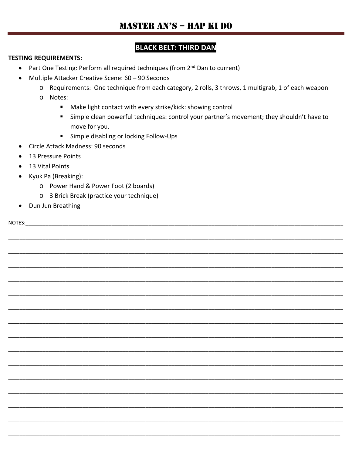# **BLACK BELT: THIRD DAN**

#### **TESTING REQUIREMENTS:**

- Part One Testing: Perform all required techniques (from 2<sup>nd</sup> Dan to current)
- Multiple Attacker Creative Scene: 60 90 Seconds  $\bullet$ 
	- o Requirements: One technique from each category, 2 rolls, 3 throws, 1 multigrab, 1 of each weapon
	- o Notes:
		- Make light contact with every strike/kick: showing control
		- " Simple clean powerful techniques: control your partner's movement; they shouldn't have to move for you.
		- $\mathbf{u}$ Simple disabling or locking Follow-Ups
- Circle Attack Madness: 90 seconds
- 13 Pressure Points  $\bullet$
- 13 Vital Points  $\bullet$
- Kyuk Pa (Breaking):
	- o Power Hand & Power Foot (2 boards)
	- o 3 Brick Break (practice your technique)
- Dun Jun Breathing

NOTES: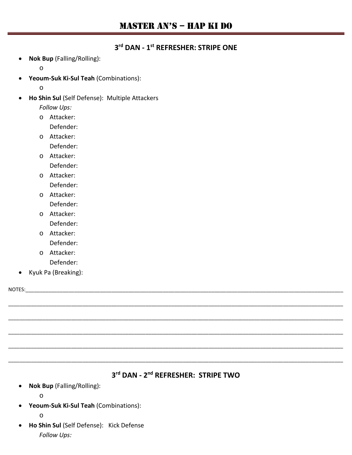#### **3rd DAN - 1st REFRESHER: STRIPE ONE**

• **Nok Bup** (Falling/Rolling):

o

• **Yeoum-Suk Ki-Sul Teah** (Combinations):

o

• **Ho Shin Sul** (Self Defense): Multiple Attackers

*Follow Ups:*

o Attacker:

Defender:

o Attacker:

Defender:

o Attacker:

Defender:

- o Attacker: Defender:
- o Attacker: Defender:
- o Attacker: Defender:
- o Attacker: Defender:
- o Attacker: Defender:
- Kyuk Pa (Breaking):

NOTES:\_\_\_\_\_\_\_\_\_\_\_\_\_\_\_\_\_\_\_\_\_\_\_\_\_\_\_\_\_\_\_\_\_\_\_\_\_\_\_\_\_\_\_\_\_\_\_\_\_\_\_\_\_\_\_\_\_\_\_\_\_\_\_\_\_\_\_\_\_\_\_\_\_\_\_\_\_\_\_\_\_\_\_\_\_\_\_\_\_\_\_\_\_\_\_\_\_\_\_\_\_\_\_\_\_\_\_\_\_\_\_

# **3rd DAN - 2nd REFRESHER: STRIPE TWO**

\_\_\_\_\_\_\_\_\_\_\_\_\_\_\_\_\_\_\_\_\_\_\_\_\_\_\_\_\_\_\_\_\_\_\_\_\_\_\_\_\_\_\_\_\_\_\_\_\_\_\_\_\_\_\_\_\_\_\_\_\_\_\_\_\_\_\_\_\_\_\_\_\_\_\_\_\_\_\_\_\_\_\_\_\_\_\_\_\_\_\_\_\_\_\_\_\_\_\_\_\_\_\_\_\_\_\_\_\_\_\_\_\_\_\_\_\_

\_\_\_\_\_\_\_\_\_\_\_\_\_\_\_\_\_\_\_\_\_\_\_\_\_\_\_\_\_\_\_\_\_\_\_\_\_\_\_\_\_\_\_\_\_\_\_\_\_\_\_\_\_\_\_\_\_\_\_\_\_\_\_\_\_\_\_\_\_\_\_\_\_\_\_\_\_\_\_\_\_\_\_\_\_\_\_\_\_\_\_\_\_\_\_\_\_\_\_\_\_\_\_\_\_\_\_\_\_\_\_\_\_\_\_\_\_

\_\_\_\_\_\_\_\_\_\_\_\_\_\_\_\_\_\_\_\_\_\_\_\_\_\_\_\_\_\_\_\_\_\_\_\_\_\_\_\_\_\_\_\_\_\_\_\_\_\_\_\_\_\_\_\_\_\_\_\_\_\_\_\_\_\_\_\_\_\_\_\_\_\_\_\_\_\_\_\_\_\_\_\_\_\_\_\_\_\_\_\_\_\_\_\_\_\_\_\_\_\_\_\_\_\_\_\_\_\_\_\_\_\_\_\_\_

\_\_\_\_\_\_\_\_\_\_\_\_\_\_\_\_\_\_\_\_\_\_\_\_\_\_\_\_\_\_\_\_\_\_\_\_\_\_\_\_\_\_\_\_\_\_\_\_\_\_\_\_\_\_\_\_\_\_\_\_\_\_\_\_\_\_\_\_\_\_\_\_\_\_\_\_\_\_\_\_\_\_\_\_\_\_\_\_\_\_\_\_\_\_\_\_\_\_\_\_\_\_\_\_\_\_\_\_\_\_\_\_\_\_\_\_\_

\_\_\_\_\_\_\_\_\_\_\_\_\_\_\_\_\_\_\_\_\_\_\_\_\_\_\_\_\_\_\_\_\_\_\_\_\_\_\_\_\_\_\_\_\_\_\_\_\_\_\_\_\_\_\_\_\_\_\_\_\_\_\_\_\_\_\_\_\_\_\_\_\_\_\_\_\_\_\_\_\_\_\_\_\_\_\_\_\_\_\_\_\_\_\_\_\_\_\_\_\_\_\_\_\_\_\_\_\_\_\_\_\_\_\_\_\_

• **Nok Bup** (Falling/Rolling):

o

• **Yeoum-Suk Ki-Sul Teah** (Combinations):

o

• **Ho Shin Sul** (Self Defense): Kick Defense *Follow Ups:*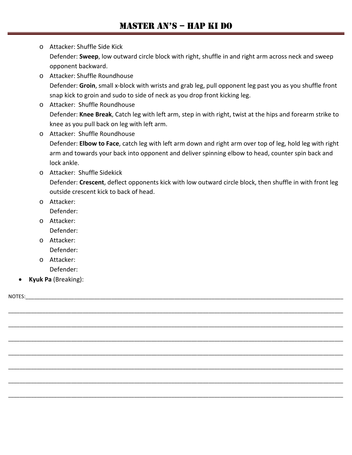- o Attacker: Shuffle Side Kick Defender: **Sweep**, low outward circle block with right, shuffle in and right arm across neck and sweep opponent backward.
- o Attacker: Shuffle Roundhouse Defender: **Groin**, small x-block with wrists and grab leg, pull opponent leg past you as you shuffle front snap kick to groin and sudo to side of neck as you drop front kicking leg.
- o Attacker: Shuffle Roundhouse Defender: **Knee Break**, Catch leg with left arm, step in with right, twist at the hips and forearm strike to knee as you pull back on leg with left arm.
- o Attacker: Shuffle Roundhouse Defender: **Elbow to Face**, catch leg with left arm down and right arm over top of leg, hold leg with right arm and towards your back into opponent and deliver spinning elbow to head, counter spin back and lock ankle.
- o Attacker: Shuffle Sidekick Defender: **Crescent**, deflect opponents kick with low outward circle block, then shuffle in with front leg outside crescent kick to back of head.

\_\_\_\_\_\_\_\_\_\_\_\_\_\_\_\_\_\_\_\_\_\_\_\_\_\_\_\_\_\_\_\_\_\_\_\_\_\_\_\_\_\_\_\_\_\_\_\_\_\_\_\_\_\_\_\_\_\_\_\_\_\_\_\_\_\_\_\_\_\_\_\_\_\_\_\_\_\_\_\_\_\_\_\_\_\_\_\_\_\_\_\_\_\_\_\_\_\_\_\_\_\_\_\_\_\_\_\_\_\_\_\_\_\_\_\_\_

\_\_\_\_\_\_\_\_\_\_\_\_\_\_\_\_\_\_\_\_\_\_\_\_\_\_\_\_\_\_\_\_\_\_\_\_\_\_\_\_\_\_\_\_\_\_\_\_\_\_\_\_\_\_\_\_\_\_\_\_\_\_\_\_\_\_\_\_\_\_\_\_\_\_\_\_\_\_\_\_\_\_\_\_\_\_\_\_\_\_\_\_\_\_\_\_\_\_\_\_\_\_\_\_\_\_\_\_\_\_\_\_\_\_\_\_\_

\_\_\_\_\_\_\_\_\_\_\_\_\_\_\_\_\_\_\_\_\_\_\_\_\_\_\_\_\_\_\_\_\_\_\_\_\_\_\_\_\_\_\_\_\_\_\_\_\_\_\_\_\_\_\_\_\_\_\_\_\_\_\_\_\_\_\_\_\_\_\_\_\_\_\_\_\_\_\_\_\_\_\_\_\_\_\_\_\_\_\_\_\_\_\_\_\_\_\_\_\_\_\_\_\_\_\_\_\_\_\_\_\_\_\_\_\_

\_\_\_\_\_\_\_\_\_\_\_\_\_\_\_\_\_\_\_\_\_\_\_\_\_\_\_\_\_\_\_\_\_\_\_\_\_\_\_\_\_\_\_\_\_\_\_\_\_\_\_\_\_\_\_\_\_\_\_\_\_\_\_\_\_\_\_\_\_\_\_\_\_\_\_\_\_\_\_\_\_\_\_\_\_\_\_\_\_\_\_\_\_\_\_\_\_\_\_\_\_\_\_\_\_\_\_\_\_\_\_\_\_\_\_\_\_

\_\_\_\_\_\_\_\_\_\_\_\_\_\_\_\_\_\_\_\_\_\_\_\_\_\_\_\_\_\_\_\_\_\_\_\_\_\_\_\_\_\_\_\_\_\_\_\_\_\_\_\_\_\_\_\_\_\_\_\_\_\_\_\_\_\_\_\_\_\_\_\_\_\_\_\_\_\_\_\_\_\_\_\_\_\_\_\_\_\_\_\_\_\_\_\_\_\_\_\_\_\_\_\_\_\_\_\_\_\_\_\_\_\_\_\_\_

\_\_\_\_\_\_\_\_\_\_\_\_\_\_\_\_\_\_\_\_\_\_\_\_\_\_\_\_\_\_\_\_\_\_\_\_\_\_\_\_\_\_\_\_\_\_\_\_\_\_\_\_\_\_\_\_\_\_\_\_\_\_\_\_\_\_\_\_\_\_\_\_\_\_\_\_\_\_\_\_\_\_\_\_\_\_\_\_\_\_\_\_\_\_\_\_\_\_\_\_\_\_\_\_\_\_\_\_\_\_\_\_\_\_\_\_\_

\_\_\_\_\_\_\_\_\_\_\_\_\_\_\_\_\_\_\_\_\_\_\_\_\_\_\_\_\_\_\_\_\_\_\_\_\_\_\_\_\_\_\_\_\_\_\_\_\_\_\_\_\_\_\_\_\_\_\_\_\_\_\_\_\_\_\_\_\_\_\_\_\_\_\_\_\_\_\_\_\_\_\_\_\_\_\_\_\_\_\_\_\_\_\_\_\_\_\_\_\_\_\_\_\_\_\_\_\_\_\_\_\_\_\_\_\_

o Attacker:

Defender:

- o Attacker: Defender:
- o Attacker: Defender:
- o Attacker:
	- Defender:
- **Kyuk Pa** (Breaking):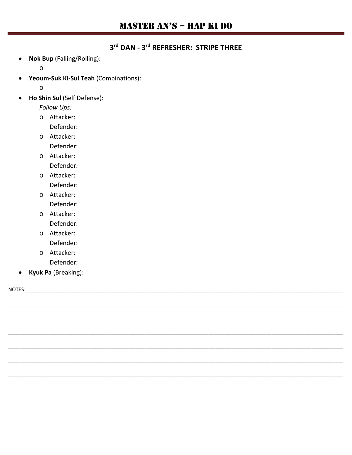## 3rd DAN - 3rd REFRESHER: STRIPE THREE

Nok Bup (Falling/Rolling):  $\bullet$ 

 $\circ$ 

Yeoum-Suk Ki-Sul Teah (Combinations):  $\bullet$ 

 $\circ$ 

Ho Shin Sul (Self Defense):  $\bullet$ 

Follow Ups:

o Attacker:

Defender:

o Attacker:

Defender:

o Attacker:

Defender:

- o Attacker: Defender:
- o Attacker: Defender:
- o Attacker: Defender:
- o Attacker: Defender:
- o Attacker: Defender:
- Kyuk Pa (Breaking):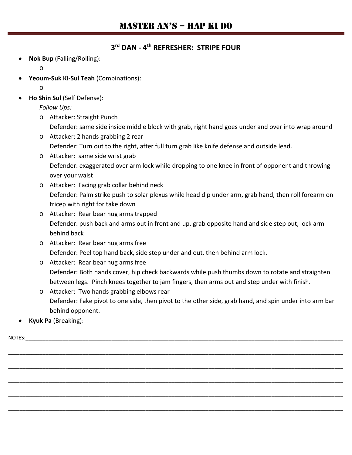#### **3rd DAN - 4th REFRESHER: STRIPE FOUR**

• **Nok Bup** (Falling/Rolling):

o

• **Yeoum-Suk Ki-Sul Teah** (Combinations):

o

• **Ho Shin Sul** (Self Defense):

*Follow Ups:*

- o Attacker: Straight Punch
	- Defender: same side inside middle block with grab, right hand goes under and over into wrap around
- o Attacker: 2 hands grabbing 2 rear Defender: Turn out to the right, after full turn grab like knife defense and outside lead.
- o Attacker: same side wrist grab Defender: exaggerated over arm lock while dropping to one knee in front of opponent and throwing over your waist
- o Attacker: Facing grab collar behind neck Defender: Palm strike push to solar plexus while head dip under arm, grab hand, then roll forearm on tricep with right for take down
- o Attacker: Rear bear hug arms trapped Defender: push back and arms out in front and up, grab opposite hand and side step out, lock arm behind back
- o Attacker: Rear bear hug arms free Defender: Peel top hand back, side step under and out, then behind arm lock.
- o Attacker: Rear bear hug arms free Defender: Both hands cover, hip check backwards while push thumbs down to rotate and straighten between legs. Pinch knees together to jam fingers, then arms out and step under with finish.
- o Attacker: Two hands grabbing elbows rear Defender: Fake pivot to one side, then pivot to the other side, grab hand, and spin under into arm bar behind opponent.

\_\_\_\_\_\_\_\_\_\_\_\_\_\_\_\_\_\_\_\_\_\_\_\_\_\_\_\_\_\_\_\_\_\_\_\_\_\_\_\_\_\_\_\_\_\_\_\_\_\_\_\_\_\_\_\_\_\_\_\_\_\_\_\_\_\_\_\_\_\_\_\_\_\_\_\_\_\_\_\_\_\_\_\_\_\_\_\_\_\_\_\_\_\_\_\_\_\_\_\_\_\_\_\_\_\_\_\_\_\_\_\_\_\_\_\_\_

\_\_\_\_\_\_\_\_\_\_\_\_\_\_\_\_\_\_\_\_\_\_\_\_\_\_\_\_\_\_\_\_\_\_\_\_\_\_\_\_\_\_\_\_\_\_\_\_\_\_\_\_\_\_\_\_\_\_\_\_\_\_\_\_\_\_\_\_\_\_\_\_\_\_\_\_\_\_\_\_\_\_\_\_\_\_\_\_\_\_\_\_\_\_\_\_\_\_\_\_\_\_\_\_\_\_\_\_\_\_\_\_\_\_\_\_\_

\_\_\_\_\_\_\_\_\_\_\_\_\_\_\_\_\_\_\_\_\_\_\_\_\_\_\_\_\_\_\_\_\_\_\_\_\_\_\_\_\_\_\_\_\_\_\_\_\_\_\_\_\_\_\_\_\_\_\_\_\_\_\_\_\_\_\_\_\_\_\_\_\_\_\_\_\_\_\_\_\_\_\_\_\_\_\_\_\_\_\_\_\_\_\_\_\_\_\_\_\_\_\_\_\_\_\_\_\_\_\_\_\_\_\_\_\_

\_\_\_\_\_\_\_\_\_\_\_\_\_\_\_\_\_\_\_\_\_\_\_\_\_\_\_\_\_\_\_\_\_\_\_\_\_\_\_\_\_\_\_\_\_\_\_\_\_\_\_\_\_\_\_\_\_\_\_\_\_\_\_\_\_\_\_\_\_\_\_\_\_\_\_\_\_\_\_\_\_\_\_\_\_\_\_\_\_\_\_\_\_\_\_\_\_\_\_\_\_\_\_\_\_\_\_\_\_\_\_\_\_\_\_\_\_

\_\_\_\_\_\_\_\_\_\_\_\_\_\_\_\_\_\_\_\_\_\_\_\_\_\_\_\_\_\_\_\_\_\_\_\_\_\_\_\_\_\_\_\_\_\_\_\_\_\_\_\_\_\_\_\_\_\_\_\_\_\_\_\_\_\_\_\_\_\_\_\_\_\_\_\_\_\_\_\_\_\_\_\_\_\_\_\_\_\_\_\_\_\_\_\_\_\_\_\_\_\_\_\_\_\_\_\_\_\_\_\_\_\_\_\_\_

• **Kyuk Pa** (Breaking):